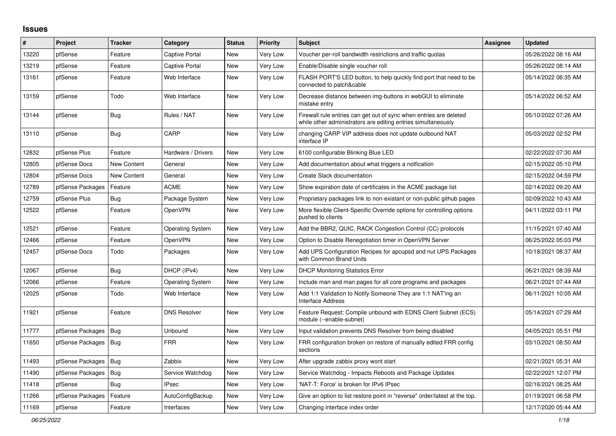## **Issues**

| #     | Project                | <b>Tracker</b> | Category                | <b>Status</b> | <b>Priority</b> | <b>Subject</b>                                                                                                                      | <b>Assignee</b> | <b>Updated</b>      |
|-------|------------------------|----------------|-------------------------|---------------|-----------------|-------------------------------------------------------------------------------------------------------------------------------------|-----------------|---------------------|
| 13220 | pfSense                | Feature        | <b>Captive Portal</b>   | New           | Very Low        | Voucher per-roll bandwidth restrictions and traffic quotas                                                                          |                 | 05/26/2022 08:16 AM |
| 13219 | pfSense                | Feature        | <b>Captive Portal</b>   | <b>New</b>    | <b>Very Low</b> | Enable/Disable single voucher roll                                                                                                  |                 | 05/26/2022 08:14 AM |
| 13161 | pfSense                | Feature        | Web Interface           | <b>New</b>    | <b>Very Low</b> | FLASH PORT'S LED button, to help quickly find port that need to be<br>connected to patch&cable                                      |                 | 05/14/2022 06:35 AM |
| 13159 | pfSense                | Todo           | Web Interface           | <b>New</b>    | <b>Very Low</b> | Decrease distance between img-buttons in webGUI to eliminate<br>mistake entry                                                       |                 | 05/14/2022 06:52 AM |
| 13144 | pfSense                | Bug            | Rules / NAT             | New           | <b>Very Low</b> | Firewall rule entries can get out of sync when entries are deleted<br>while other administrators are editing entries simultaneously |                 | 05/10/2022 07:26 AM |
| 13110 | pfSense                | Bug            | CARP                    | New           | Very Low        | changing CARP VIP address does not update outbound NAT<br>interface IP                                                              |                 | 05/03/2022 02:52 PM |
| 12832 | pfSense Plus           | Feature        | Hardware / Drivers      | <b>New</b>    | Very Low        | 6100 configurable Blinking Blue LED                                                                                                 |                 | 02/22/2022 07:30 AM |
| 12805 | pfSense Docs           | New Content    | General                 | <b>New</b>    | <b>Very Low</b> | Add documentation about what triggers a notfication                                                                                 |                 | 02/15/2022 05:10 PM |
| 12804 | pfSense Docs           | New Content    | General                 | <b>New</b>    | <b>Very Low</b> | Create Slack documentation                                                                                                          |                 | 02/15/2022 04:59 PM |
| 12789 | pfSense Packages       | Feature        | <b>ACME</b>             | <b>New</b>    | <b>Very Low</b> | Show expiration date of certificates in the ACME package list                                                                       |                 | 02/14/2022 09:20 AM |
| 12759 | pfSense Plus           | <b>Bug</b>     | Package System          | New           | Very Low        | Proprietary packages link to non-existant or non-public github pages                                                                |                 | 02/09/2022 10:43 AM |
| 12522 | pfSense                | Feature        | OpenVPN                 | New           | Very Low        | More flexible Client-Specific Override options for controlling options<br>pushed to clients                                         |                 | 04/11/2022 03:11 PM |
| 12521 | pfSense                | Feature        | <b>Operating System</b> | New           | Very Low        | Add the BBR2, QUIC, RACK Congestion Control (CC) protocols                                                                          |                 | 11/15/2021 07:40 AM |
| 12466 | pfSense                | Feature        | OpenVPN                 | New           | <b>Very Low</b> | Option to Disable Renegotiation timer in OpenVPN Server                                                                             |                 | 06/25/2022 05:03 PM |
| 12457 | pfSense Docs           | Todo           | Packages                | <b>New</b>    | Very Low        | Add UPS Configuration Recipes for apcupsd and nut UPS Packages<br>with Common Brand Units                                           |                 | 10/18/2021 08:37 AM |
| 12067 | pfSense                | Bug            | DHCP (IPv4)             | <b>New</b>    | Very Low        | <b>DHCP Monitoring Statistics Error</b>                                                                                             |                 | 06/21/2021 08:39 AM |
| 12066 | pfSense                | Feature        | <b>Operating System</b> | <b>New</b>    | Very Low        | Include man and man pages for all core programs and packages                                                                        |                 | 06/21/2021 07:44 AM |
| 12025 | pfSense                | Todo           | Web Interface           | <b>New</b>    | Very Low        | Add 1:1 Validation to Notify Someone They are 1:1 NAT'ing an<br><b>Interface Address</b>                                            |                 | 06/11/2021 10:05 AM |
| 11921 | pfSense                | Feature        | <b>DNS Resolver</b>     | New           | Very Low        | Feature Request: Compile unbound with EDNS Client Subnet (ECS)<br>module (--enable-subnet)                                          |                 | 05/14/2021 07:29 AM |
| 11777 | pfSense Packages       | Bug            | Unbound                 | New           | Very Low        | Input validation prevents DNS Resolver from being disabled                                                                          |                 | 04/05/2021 05:51 PM |
| 11650 | pfSense Packages   Bug |                | <b>FRR</b>              | New           | Very Low        | FRR configuration broken on restore of manually edited FRR config<br>sections                                                       |                 | 03/10/2021 08:50 AM |
| 11493 | pfSense Packages       | Bug            | Zabbix                  | <b>New</b>    | <b>Very Low</b> | After upgrade zabbix proxy wont start                                                                                               |                 | 02/21/2021 05:31 AM |
| 11490 | pfSense Packages       | Bug            | Service Watchdog        | <b>New</b>    | Very Low        | Service Watchdog - Impacts Reboots and Package Updates                                                                              |                 | 02/22/2021 12:07 PM |
| 11418 | pfSense                | <b>Bug</b>     | <b>IPsec</b>            | <b>New</b>    | Very Low        | 'NAT-T: Force' is broken for IPv6 IPsec                                                                                             |                 | 02/16/2021 08:25 AM |
| 11266 | pfSense Packages       | Feature        | AutoConfigBackup        | <b>New</b>    | Very Low        | Give an option to list restore point in "reverse" order/latest at the top.                                                          |                 | 01/19/2021 06:58 PM |
| 11169 | pfSense                | Feature        | Interfaces              | New           | Very Low        | Changing interface index order                                                                                                      |                 | 12/17/2020 05:44 AM |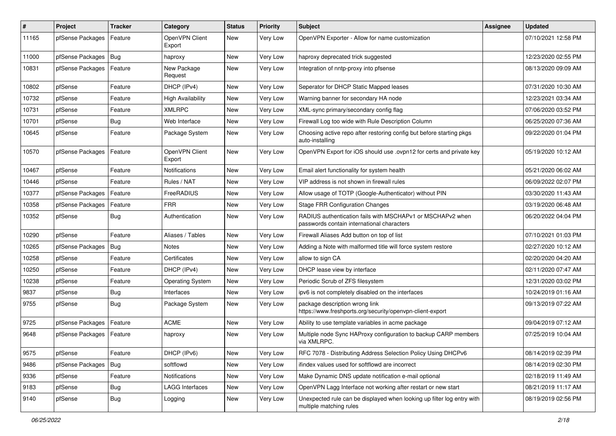| $\vert$ # | Project          | <b>Tracker</b> | Category                 | <b>Status</b> | <b>Priority</b> | <b>Subject</b>                                                                                           | <b>Assignee</b> | <b>Updated</b>      |
|-----------|------------------|----------------|--------------------------|---------------|-----------------|----------------------------------------------------------------------------------------------------------|-----------------|---------------------|
| 11165     | pfSense Packages | Feature        | OpenVPN Client<br>Export | New           | Very Low        | OpenVPN Exporter - Allow for name customization                                                          |                 | 07/10/2021 12:58 PM |
| 11000     | pfSense Packages | Bug            | haproxy                  | <b>New</b>    | Very Low        | haproxy deprecated trick suggested                                                                       |                 | 12/23/2020 02:55 PM |
| 10831     | pfSense Packages | Feature        | New Package<br>Request   | <b>New</b>    | Very Low        | Integration of nntp-proxy into pfsense                                                                   |                 | 08/13/2020 09:09 AM |
| 10802     | pfSense          | Feature        | DHCP (IPv4)              | New           | Very Low        | Seperator for DHCP Static Mapped leases                                                                  |                 | 07/31/2020 10:30 AM |
| 10732     | pfSense          | Feature        | <b>High Availability</b> | New           | Very Low        | Warning banner for secondary HA node                                                                     |                 | 12/23/2021 03:34 AM |
| 10731     | pfSense          | Feature        | <b>XMLRPC</b>            | <b>New</b>    | Very Low        | XML-sync primary/secondary config flag                                                                   |                 | 07/06/2020 03:52 PM |
| 10701     | pfSense          | <b>Bug</b>     | Web Interface            | New           | Very Low        | Firewall Log too wide with Rule Description Column                                                       |                 | 06/25/2020 07:36 AM |
| 10645     | pfSense          | Feature        | Package System           | New           | Very Low        | Choosing active repo after restoring config but before starting pkgs<br>auto-installing                  |                 | 09/22/2020 01:04 PM |
| 10570     | pfSense Packages | Feature        | OpenVPN Client<br>Export | <b>New</b>    | Very Low        | OpenVPN Export for iOS should use .ovpn12 for certs and private key                                      |                 | 05/19/2020 10:12 AM |
| 10467     | pfSense          | Feature        | Notifications            | New           | Very Low        | Email alert functionality for system health                                                              |                 | 05/21/2020 06:02 AM |
| 10446     | pfSense          | Feature        | Rules / NAT              | New           | Very Low        | VIP address is not shown in firewall rules                                                               |                 | 06/09/2022 02:07 PM |
| 10377     | pfSense Packages | Feature        | FreeRADIUS               | <b>New</b>    | Very Low        | Allow usage of TOTP (Google-Authenticator) without PIN                                                   |                 | 03/30/2020 11:43 AM |
| 10358     | pfSense Packages | Feature        | <b>FRR</b>               | New           | Very Low        | <b>Stage FRR Configuration Changes</b>                                                                   |                 | 03/19/2020 06:48 AM |
| 10352     | pfSense          | <b>Bug</b>     | Authentication           | New           | Very Low        | RADIUS authentication fails with MSCHAPv1 or MSCHAPv2 when<br>passwords contain international characters |                 | 06/20/2022 04:04 PM |
| 10290     | pfSense          | Feature        | Aliases / Tables         | <b>New</b>    | Very Low        | Firewall Aliases Add button on top of list                                                               |                 | 07/10/2021 01:03 PM |
| 10265     | pfSense Packages | Bug            | <b>Notes</b>             | <b>New</b>    | Very Low        | Adding a Note with malformed title will force system restore                                             |                 | 02/27/2020 10:12 AM |
| 10258     | pfSense          | Feature        | Certificates             | New           | Very Low        | allow to sign CA                                                                                         |                 | 02/20/2020 04:20 AM |
| 10250     | pfSense          | Feature        | DHCP (IPv4)              | New           | Very Low        | DHCP lease view by interface                                                                             |                 | 02/11/2020 07:47 AM |
| 10238     | pfSense          | Feature        | <b>Operating System</b>  | <b>New</b>    | Very Low        | Periodic Scrub of ZFS filesystem                                                                         |                 | 12/31/2020 03:02 PM |
| 9837      | pfSense          | <b>Bug</b>     | Interfaces               | New           | Very Low        | ipv6 is not completely disabled on the interfaces                                                        |                 | 10/24/2019 01:16 AM |
| 9755      | pfSense          | <b>Bug</b>     | Package System           | New           | Very Low        | package description wrong link<br>https://www.freshports.org/security/openvpn-client-export              |                 | 09/13/2019 07:22 AM |
| 9725      | pfSense Packages | Feature        | <b>ACME</b>              | <b>New</b>    | Very Low        | Ability to use template variables in acme package                                                        |                 | 09/04/2019 07:12 AM |
| 9648      | pfSense Packages | Feature        | haproxy                  | New           | Very Low        | Multiple node Sync HAProxy configuration to backup CARP members<br>via XMLRPC.                           |                 | 07/25/2019 10:04 AM |
| 9575      | pfSense          | Feature        | DHCP (IPv6)              | New           | Very Low        | RFC 7078 - Distributing Address Selection Policy Using DHCPv6                                            |                 | 08/14/2019 02:39 PM |
| 9486      | pfSense Packages | Bug            | softflowd                | New           | Very Low        | ifindex values used for softflowd are incorrect                                                          |                 | 08/14/2019 02:30 PM |
| 9336      | pfSense          | Feature        | <b>Notifications</b>     | New           | Very Low        | Make Dynamic DNS update notification e-mail optional                                                     |                 | 02/18/2019 11:49 AM |
| 9183      | pfSense          | <b>Bug</b>     | <b>LAGG Interfaces</b>   | New           | Very Low        | OpenVPN Lagg Interface not working after restart or new start                                            |                 | 08/21/2019 11:17 AM |
| 9140      | pfSense          | <b>Bug</b>     | Logging                  | New           | Very Low        | Unexpected rule can be displayed when looking up filter log entry with<br>multiple matching rules        |                 | 08/19/2019 02:56 PM |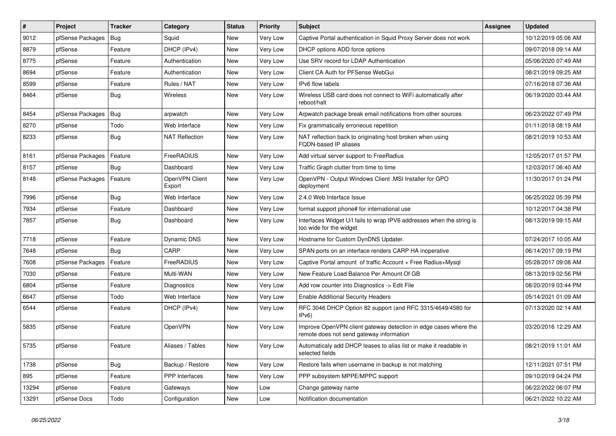| $\vert$ # | Project          | <b>Tracker</b> | Category                 | <b>Status</b> | <b>Priority</b> | Subject                                                                                                      | Assignee | <b>Updated</b>      |
|-----------|------------------|----------------|--------------------------|---------------|-----------------|--------------------------------------------------------------------------------------------------------------|----------|---------------------|
| 9012      | pfSense Packages | Bug            | Squid                    | New           | Very Low        | Captive Portal authentication in Squid Proxy Server does not work                                            |          | 10/12/2019 05:06 AM |
| 8879      | pfSense          | Feature        | DHCP (IPv4)              | New           | Very Low        | DHCP options ADD force options                                                                               |          | 09/07/2018 09:14 AM |
| 8775      | pfSense          | Feature        | Authentication           | New           | Very Low        | Use SRV record for LDAP Authentication                                                                       |          | 05/06/2020 07:49 AM |
| 8694      | pfSense          | Feature        | Authentication           | New           | Very Low        | Client CA Auth for PFSense WebGui                                                                            |          | 08/21/2019 09:25 AM |
| 8599      | pfSense          | Feature        | Rules / NAT              | <b>New</b>    | Very Low        | IPv6 flow labels                                                                                             |          | 07/16/2018 07:36 AM |
| 8464      | pfSense          | <b>Bug</b>     | Wireless                 | New           | Very Low        | Wireless USB card does not connect to WiFi automatically after<br>reboot/halt                                |          | 06/19/2020 03:44 AM |
| 8454      | pfSense Packages | <b>Bug</b>     | arpwatch                 | New           | Very Low        | Arpwatch package break email notifications from other sources                                                |          | 06/23/2022 07:49 PM |
| 8270      | pfSense          | Todo           | Web Interface            | <b>New</b>    | Very Low        | Fix grammatically erroneous repetition                                                                       |          | 01/11/2018 08:19 AM |
| 8233      | pfSense          | <b>Bug</b>     | <b>NAT Reflection</b>    | New           | Very Low        | NAT reflection back to originating host broken when using<br>FQDN-based IP aliases                           |          | 08/21/2019 10:53 AM |
| 8161      | pfSense Packages | Feature        | FreeRADIUS               | New           | Very Low        | Add virtual server support to FreeRadius                                                                     |          | 12/05/2017 01:57 PM |
| 8157      | pfSense          | Bug            | Dashboard                | <b>New</b>    | Very Low        | Traffic Graph clutter from time to time                                                                      |          | 12/03/2017 06:40 AM |
| 8148      | pfSense Packages | Feature        | OpenVPN Client<br>Export | New           | Very Low        | OpenVPN - Output Windows Client .MSI Installer for GPO<br>deployment                                         |          | 11/30/2017 01:24 PM |
| 7996      | pfSense          | Bug            | Web Interface            | New           | Very Low        | 2.4.0 Web Interface Issue                                                                                    |          | 06/25/2022 05:39 PM |
| 7934      | pfSense          | Feature        | Dashboard                | New           | Very Low        | format support phone# for international use                                                                  |          | 10/12/2017 04:38 PM |
| 7857      | pfSense          | <b>Bug</b>     | Dashboard                | New           | Very Low        | Interfaces Widget U/I fails to wrap IPV6 addresses when the string is<br>too wide for the widget             |          | 08/13/2019 09:15 AM |
| 7718      | pfSense          | Feature        | Dynamic DNS              | <b>New</b>    | Very Low        | Hostname for Custom DynDNS Updater.                                                                          |          | 07/24/2017 10:05 AM |
| 7648      | pfSense          | Bug            | CARP                     | <b>New</b>    | Very Low        | SPAN ports on an interface renders CARP HA inoperative                                                       |          | 06/14/2017 09:19 PM |
| 7608      | pfSense Packages | Feature        | FreeRADIUS               | New           | Very Low        | Captive Portal amount of traffic Account + Free Radius+Mysql                                                 |          | 05/28/2017 09:08 AM |
| 7030      | pfSense          | Feature        | Multi-WAN                | New           | Very Low        | New Feature Load Balance Per Amount Of GB                                                                    |          | 08/13/2019 02:56 PM |
| 6804      | pfSense          | Feature        | Diagnostics              | New           | Very Low        | Add row counter into Diagnostics -> Edit File                                                                |          | 08/20/2019 03:44 PM |
| 6647      | pfSense          | Todo           | Web Interface            | New           | Very Low        | <b>Enable Additional Security Headers</b>                                                                    |          | 05/14/2021 01:09 AM |
| 6544      | pfSense          | Feature        | DHCP (IPv4)              | New           | Very Low        | RFC 3046 DHCP Option 82 support (and RFC 3315/4649/4580 for<br>IPv6)                                         |          | 07/13/2020 02:14 AM |
| 5835      | pfSense          | Feature        | OpenVPN                  | New           | Very Low        | Improve OpenVPN client gateway detection in edge cases where the<br>remote does not send gateway information |          | 03/20/2016 12:29 AM |
| 5735      | pfSense          | Feature        | Aliases / Tables         | New           | Very Low        | Automaticaly add DHCP leases to alias list or make it readable in<br>selected fields                         |          | 08/21/2019 11:01 AM |
| 1738      | pfSense          | <b>Bug</b>     | Backup / Restore         | New           | Very Low        | Restore fails when username in backup is not matching                                                        |          | 12/11/2021 07:51 PM |
| 895       | pfSense          | Feature        | PPP Interfaces           | New           | Very Low        | PPP subsystem MPPE/MPPC support                                                                              |          | 09/10/2019 04:24 PM |
| 13294     | pfSense          | Feature        | Gateways                 | <b>New</b>    | Low             | Change gateway name                                                                                          |          | 06/22/2022 06:07 PM |
| 13291     | pfSense Docs     | Todo           | Configuration            | New           | Low             | Notification documentation                                                                                   |          | 06/21/2022 10:22 AM |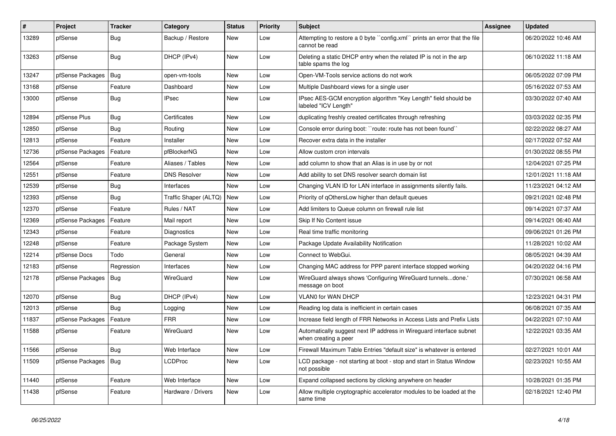| $\#$  | Project                | <b>Tracker</b> | Category              | <b>Status</b> | Priority | <b>Subject</b>                                                                              | Assignee | <b>Updated</b>      |
|-------|------------------------|----------------|-----------------------|---------------|----------|---------------------------------------------------------------------------------------------|----------|---------------------|
| 13289 | pfSense                | <b>Bug</b>     | Backup / Restore      | New           | Low      | Attempting to restore a 0 byte "config.xml" prints an error that the file<br>cannot be read |          | 06/20/2022 10:46 AM |
| 13263 | pfSense                | <b>Bug</b>     | DHCP (IPv4)           | <b>New</b>    | Low      | Deleting a static DHCP entry when the related IP is not in the arp<br>table spams the log   |          | 06/10/2022 11:18 AM |
| 13247 | pfSense Packages       | Bug            | open-vm-tools         | New           | Low      | Open-VM-Tools service actions do not work                                                   |          | 06/05/2022 07:09 PM |
| 13168 | pfSense                | Feature        | Dashboard             | New           | Low      | Multiple Dashboard views for a single user                                                  |          | 05/16/2022 07:53 AM |
| 13000 | pfSense                | <b>Bug</b>     | IPsec                 | New           | Low      | IPsec AES-GCM encryption algorithm "Key Length" field should be<br>labeled "ICV Length"     |          | 03/30/2022 07:40 AM |
| 12894 | pfSense Plus           | <b>Bug</b>     | Certificates          | New           | Low      | duplicating freshly created certificates through refreshing                                 |          | 03/03/2022 02:35 PM |
| 12850 | pfSense                | <b>Bug</b>     | Routing               | New           | Low      | Console error during boot: "route: route has not been found"                                |          | 02/22/2022 08:27 AM |
| 12813 | pfSense                | Feature        | Installer             | New           | Low      | Recover extra data in the installer                                                         |          | 02/17/2022 07:52 AM |
| 12736 | pfSense Packages       | Feature        | pfBlockerNG           | <b>New</b>    | Low      | Allow custom cron intervals                                                                 |          | 01/30/2022 08:55 PM |
| 12564 | pfSense                | Feature        | Aliases / Tables      | <b>New</b>    | Low      | add column to show that an Alias is in use by or not                                        |          | 12/04/2021 07:25 PM |
| 12551 | pfSense                | Feature        | <b>DNS Resolver</b>   | New           | Low      | Add ability to set DNS resolver search domain list                                          |          | 12/01/2021 11:18 AM |
| 12539 | pfSense                | <b>Bug</b>     | Interfaces            | New           | Low      | Changing VLAN ID for LAN interface in assignments silently fails.                           |          | 11/23/2021 04:12 AM |
| 12393 | pfSense                | <b>Bug</b>     | Traffic Shaper (ALTQ) | <b>New</b>    | Low      | Priority of gOthersLow higher than default queues                                           |          | 09/21/2021 02:48 PM |
| 12370 | pfSense                | Feature        | Rules / NAT           | New           | Low      | Add limiters to Queue column on firewall rule list                                          |          | 09/14/2021 07:37 AM |
| 12369 | pfSense Packages       | Feature        | Mail report           | <b>New</b>    | Low      | Skip If No Content issue                                                                    |          | 09/14/2021 06:40 AM |
| 12343 | pfSense                | Feature        | <b>Diagnostics</b>    | New           | Low      | Real time traffic monitoring                                                                |          | 09/06/2021 01:26 PM |
| 12248 | pfSense                | Feature        | Package System        | New           | Low      | Package Update Availability Notification                                                    |          | 11/28/2021 10:02 AM |
| 12214 | pfSense Docs           | Todo           | General               | <b>New</b>    | Low      | Connect to WebGui.                                                                          |          | 08/05/2021 04:39 AM |
| 12183 | pfSense                | Regression     | Interfaces            | New           | Low      | Changing MAC address for PPP parent interface stopped working                               |          | 04/20/2022 04:16 PM |
| 12178 | pfSense Packages       | Bug            | WireGuard             | New           | Low      | WireGuard always shows 'Configuring WireGuard tunnelsdone.'<br>message on boot              |          | 07/30/2021 06:58 AM |
| 12070 | pfSense                | Bug            | DHCP (IPv4)           | <b>New</b>    | Low      | VLAN0 for WAN DHCP                                                                          |          | 12/23/2021 04:31 PM |
| 12013 | pfSense                | Bug            | Logging               | <b>New</b>    | Low      | Reading log data is inefficient in certain cases                                            |          | 06/08/2021 07:35 AM |
| 11837 | pfSense Packages       | Feature        | <b>FRR</b>            | New           | Low      | Increase field length of FRR Networks in Access Lists and Prefix Lists                      |          | 04/22/2021 07:10 AM |
| 11588 | pfSense                | Feature        | WireGuard             | New           | Low      | Automatically suggest next IP address in Wireguard interface subnet<br>when creating a peer |          | 12/22/2021 03:35 AM |
| 11566 | pfSense                | <b>Bug</b>     | Web Interface         | New           | Low      | Firewall Maximum Table Entries "default size" is whatever is entered                        |          | 02/27/2021 10:01 AM |
| 11509 | pfSense Packages   Bug |                | <b>LCDProc</b>        | New           | Low      | LCD package - not starting at boot - stop and start in Status Window<br>not possible        |          | 02/23/2021 10:55 AM |
| 11440 | pfSense                | Feature        | Web Interface         | New           | Low      | Expand collapsed sections by clicking anywhere on header                                    |          | 10/28/2021 01:35 PM |
| 11438 | pfSense                | Feature        | Hardware / Drivers    | New           | Low      | Allow multiple cryptographic accelerator modules to be loaded at the<br>same time           |          | 02/18/2021 12:40 PM |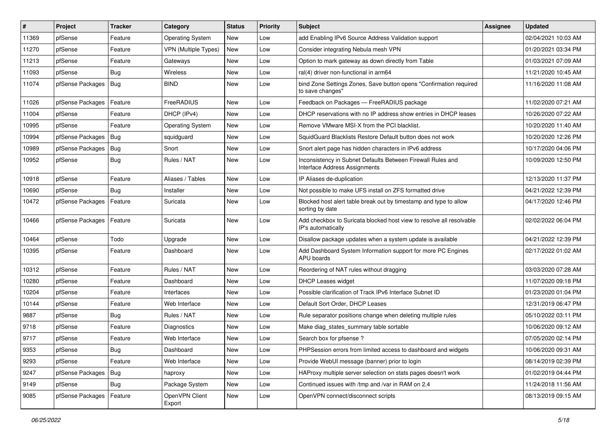| #     | Project          | <b>Tracker</b> | Category                    | <b>Status</b> | <b>Priority</b> | Subject                                                                                      | <b>Assignee</b> | <b>Updated</b>      |
|-------|------------------|----------------|-----------------------------|---------------|-----------------|----------------------------------------------------------------------------------------------|-----------------|---------------------|
| 11369 | pfSense          | Feature        | <b>Operating System</b>     | New           | Low             | add Enabling IPv6 Source Address Validation support                                          |                 | 02/04/2021 10:03 AM |
| 11270 | pfSense          | Feature        | <b>VPN</b> (Multiple Types) | <b>New</b>    | Low             | Consider integrating Nebula mesh VPN                                                         |                 | 01/20/2021 03:34 PM |
| 11213 | pfSense          | Feature        | Gateways                    | New           | Low             | Option to mark gateway as down directly from Table                                           |                 | 01/03/2021 07:09 AM |
| 11093 | pfSense          | <b>Bug</b>     | <b>Wireless</b>             | New           | Low             | ral(4) driver non-functional in arm64                                                        |                 | 11/21/2020 10:45 AM |
| 11074 | pfSense Packages | <b>Bug</b>     | <b>BIND</b>                 | <b>New</b>    | Low             | bind Zone Settings Zones, Save button opens "Confirmation required<br>to save changes"       |                 | 11/16/2020 11:08 AM |
| 11026 | pfSense Packages | Feature        | FreeRADIUS                  | New           | Low             | Feedback on Packages - FreeRADIUS package                                                    |                 | 11/02/2020 07:21 AM |
| 11004 | pfSense          | Feature        | DHCP (IPv4)                 | <b>New</b>    | Low             | DHCP reservations with no IP address show entries in DHCP leases                             |                 | 10/26/2020 07:22 AM |
| 10995 | pfSense          | Feature        | <b>Operating System</b>     | New           | Low             | Remove VMware MSI-X from the PCI blacklist.                                                  |                 | 10/20/2020 11:40 AM |
| 10994 | pfSense Packages | Bug            | squidguard                  | <b>New</b>    | Low             | SquidGuard Blacklists Restore Default button does not work                                   |                 | 10/20/2020 12:26 PM |
| 10989 | pfSense Packages | <b>Bug</b>     | Snort                       | New           | Low             | Snort alert page has hidden characters in IPv6 address                                       |                 | 10/17/2020 04:06 PM |
| 10952 | pfSense          | <b>Bug</b>     | Rules / NAT                 | <b>New</b>    | Low             | Inconsistency in Subnet Defaults Between Firewall Rules and<br>Interface Address Assignments |                 | 10/09/2020 12:50 PM |
| 10918 | pfSense          | Feature        | Aliases / Tables            | New           | Low             | IP Aliases de-duplication                                                                    |                 | 12/13/2020 11:37 PM |
| 10690 | pfSense          | Bug            | Installer                   | New           | Low             | Not possible to make UFS install on ZFS formatted drive                                      |                 | 04/21/2022 12:39 PM |
| 10472 | pfSense Packages | Feature        | Suricata                    | New           | Low             | Blocked host alert table break out by timestamp and type to allow<br>sorting by date         |                 | 04/17/2020 12:46 PM |
| 10466 | pfSense Packages | Feature        | Suricata                    | New           | Low             | Add checkbox to Suricata blocked host view to resolve all resolvable<br>IP's automatically   |                 | 02/02/2022 06:04 PM |
| 10464 | pfSense          | Todo           | Upgrade                     | <b>New</b>    | Low             | Disallow package updates when a system update is available                                   |                 | 04/21/2022 12:39 PM |
| 10395 | pfSense          | Feature        | Dashboard                   | <b>New</b>    | Low             | Add Dashboard System Information support for more PC Engines<br>APU boards                   |                 | 02/17/2022 01:02 AM |
| 10312 | pfSense          | Feature        | Rules / NAT                 | New           | Low             | Reordering of NAT rules without dragging                                                     |                 | 03/03/2020 07:28 AM |
| 10280 | pfSense          | Feature        | Dashboard                   | <b>New</b>    | Low             | <b>DHCP Leases widget</b>                                                                    |                 | 11/07/2020 09:18 PM |
| 10204 | pfSense          | Feature        | Interfaces                  | New           | Low             | Possible clarification of Track IPv6 Interface Subnet ID                                     |                 | 01/23/2020 01:04 PM |
| 10144 | pfSense          | Feature        | Web Interface               | New           | Low             | Default Sort Order, DHCP Leases                                                              |                 | 12/31/2019 06:47 PM |
| 9887  | pfSense          | <b>Bug</b>     | Rules / NAT                 | New           | Low             | Rule separator positions change when deleting multiple rules                                 |                 | 05/10/2022 03:11 PM |
| 9718  | pfSense          | Feature        | Diagnostics                 | New           | Low             | Make diag_states_summary table sortable                                                      |                 | 10/06/2020 09:12 AM |
| 9717  | pfSense          | Feature        | Web Interface               | <b>New</b>    | Low             | Search box for pfsense ?                                                                     |                 | 07/05/2020 02:14 PM |
| 9353  | pfSense          | Bug            | Dashboard                   | New           | Low             | PHPSession errors from limited access to dashboard and widgets                               |                 | 10/06/2020 09:31 AM |
| 9293  | pfSense          | Feature        | Web Interface               | New           | Low             | Provide WebUI message (banner) prior to login                                                |                 | 08/14/2019 02:39 PM |
| 9247  | pfSense Packages | <b>Bug</b>     | haproxy                     | New           | Low             | HAProxy multiple server selection on stats pages doesn't work                                |                 | 01/02/2019 04:44 PM |
| 9149  | pfSense          | <b>Bug</b>     | Package System              | New           | Low             | Continued issues with /tmp and /var in RAM on 2.4                                            |                 | 11/24/2018 11:56 AM |
| 9085  | pfSense Packages | Feature        | OpenVPN Client<br>Export    | New           | Low             | OpenVPN connect/disconnect scripts                                                           |                 | 08/13/2019 09:15 AM |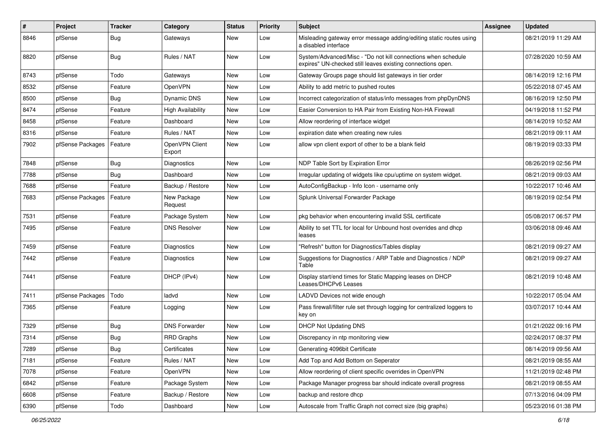| #    | Project          | <b>Tracker</b> | Category                 | <b>Status</b> | <b>Priority</b> | Subject                                                                                                                      | <b>Assignee</b> | <b>Updated</b>      |
|------|------------------|----------------|--------------------------|---------------|-----------------|------------------------------------------------------------------------------------------------------------------------------|-----------------|---------------------|
| 8846 | pfSense          | <b>Bug</b>     | Gateways                 | New           | Low             | Misleading gateway error message adding/editing static routes using<br>a disabled interface                                  |                 | 08/21/2019 11:29 AM |
| 8820 | pfSense          | Bug            | Rules / NAT              | <b>New</b>    | Low             | System/Advanced/Misc - "Do not kill connections when schedule<br>expires" UN-checked still leaves existing connections open. |                 | 07/28/2020 10:59 AM |
| 8743 | pfSense          | Todo           | Gateways                 | <b>New</b>    | Low             | Gateway Groups page should list gateways in tier order                                                                       |                 | 08/14/2019 12:16 PM |
| 8532 | pfSense          | Feature        | <b>OpenVPN</b>           | New           | Low             | Ability to add metric to pushed routes                                                                                       |                 | 05/22/2018 07:45 AM |
| 8500 | pfSense          | <b>Bug</b>     | Dynamic DNS              | New           | Low             | Incorrect categorization of status/info messages from phpDynDNS                                                              |                 | 08/16/2019 12:50 PM |
| 8474 | pfSense          | Feature        | <b>High Availability</b> | <b>New</b>    | Low             | Easier Conversion to HA Pair from Existing Non-HA Firewall                                                                   |                 | 04/19/2018 11:52 PM |
| 8458 | pfSense          | Feature        | Dashboard                | New           | Low             | Allow reordering of interface widget                                                                                         |                 | 08/14/2019 10:52 AM |
| 8316 | pfSense          | Feature        | Rules / NAT              | New           | Low             | expiration date when creating new rules                                                                                      |                 | 08/21/2019 09:11 AM |
| 7902 | pfSense Packages | Feature        | OpenVPN Client<br>Export | New           | Low             | allow vpn client export of other to be a blank field                                                                         |                 | 08/19/2019 03:33 PM |
| 7848 | pfSense          | Bug            | Diagnostics              | <b>New</b>    | Low             | NDP Table Sort by Expiration Error                                                                                           |                 | 08/26/2019 02:56 PM |
| 7788 | pfSense          | <b>Bug</b>     | Dashboard                | New           | Low             | Irregular updating of widgets like cpu/uptime on system widget.                                                              |                 | 08/21/2019 09:03 AM |
| 7688 | pfSense          | Feature        | Backup / Restore         | New           | Low             | AutoConfigBackup - Info Icon - username only                                                                                 |                 | 10/22/2017 10:46 AM |
| 7683 | pfSense Packages | Feature        | New Package<br>Request   | <b>New</b>    | Low             | Splunk Universal Forwarder Package                                                                                           |                 | 08/19/2019 02:54 PM |
| 7531 | pfSense          | Feature        | Package System           | <b>New</b>    | Low             | pkg behavior when encountering invalid SSL certificate                                                                       |                 | 05/08/2017 06:57 PM |
| 7495 | pfSense          | Feature        | <b>DNS Resolver</b>      | New           | Low             | Ability to set TTL for local for Unbound host overrides and dhcp<br>leases                                                   |                 | 03/06/2018 09:46 AM |
| 7459 | pfSense          | Feature        | Diagnostics              | <b>New</b>    | Low             | "Refresh" button for Diagnostics/Tables display                                                                              |                 | 08/21/2019 09:27 AM |
| 7442 | pfSense          | Feature        | Diagnostics              | New           | Low             | Suggestions for Diagnostics / ARP Table and Diagnostics / NDP<br>Table                                                       |                 | 08/21/2019 09:27 AM |
| 7441 | pfSense          | Feature        | DHCP (IPv4)              | <b>New</b>    | Low             | Display start/end times for Static Mapping leases on DHCP<br>Leases/DHCPv6 Leases                                            |                 | 08/21/2019 10:48 AM |
| 7411 | pfSense Packages | Todo           | ladvd                    | <b>New</b>    | Low             | LADVD Devices not wide enough                                                                                                |                 | 10/22/2017 05:04 AM |
| 7365 | pfSense          | Feature        | Logging                  | <b>New</b>    | Low             | Pass firewall/filter rule set through logging for centralized loggers to<br>key on                                           |                 | 03/07/2017 10:44 AM |
| 7329 | pfSense          | <b>Bug</b>     | <b>DNS Forwarder</b>     | <b>New</b>    | Low             | DHCP Not Updating DNS                                                                                                        |                 | 01/21/2022 09:16 PM |
| 7314 | pfSense          | Bug            | <b>RRD Graphs</b>        | <b>New</b>    | Low             | Discrepancy in ntp monitoring view                                                                                           |                 | 02/24/2017 08:37 PM |
| 7289 | pfSense          | Bug            | Certificates             | New           | Low             | Generating 4096bit Certificate                                                                                               |                 | 08/14/2019 09:56 AM |
| 7181 | pfSense          | Feature        | Rules / NAT              | New           | Low             | Add Top and Add Bottom on Seperator                                                                                          |                 | 08/21/2019 08:55 AM |
| 7078 | pfSense          | Feature        | OpenVPN                  | New           | Low             | Allow reordering of client specific overrides in OpenVPN                                                                     |                 | 11/21/2019 02:48 PM |
| 6842 | pfSense          | Feature        | Package System           | New           | Low             | Package Manager progress bar should indicate overall progress                                                                |                 | 08/21/2019 08:55 AM |
| 6608 | pfSense          | Feature        | Backup / Restore         | New           | Low             | backup and restore dhcp                                                                                                      |                 | 07/13/2016 04:09 PM |
| 6390 | pfSense          | Todo           | Dashboard                | New           | Low             | Autoscale from Traffic Graph not correct size (big graphs)                                                                   |                 | 05/23/2016 01:38 PM |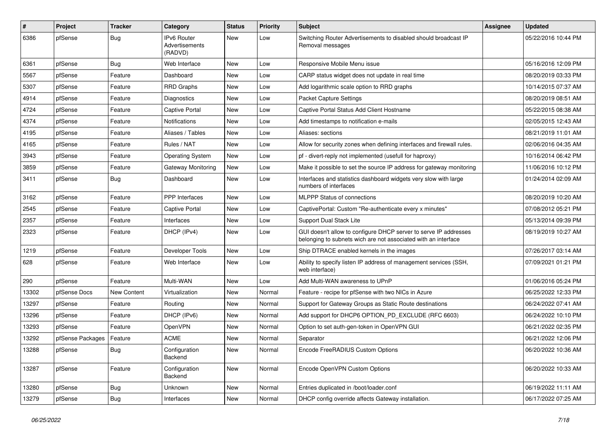| #     | Project          | <b>Tracker</b> | Category                                 | <b>Status</b> | Priority | <b>Subject</b>                                                                                                                     | <b>Assignee</b> | <b>Updated</b>      |
|-------|------------------|----------------|------------------------------------------|---------------|----------|------------------------------------------------------------------------------------------------------------------------------------|-----------------|---------------------|
| 6386  | pfSense          | Bug            | IPv6 Router<br>Advertisements<br>(RADVD) | New           | Low      | Switching Router Advertisements to disabled should broadcast IP<br>Removal messages                                                |                 | 05/22/2016 10:44 PM |
| 6361  | pfSense          | Bug            | Web Interface                            | New           | Low      | Responsive Mobile Menu issue                                                                                                       |                 | 05/16/2016 12:09 PM |
| 5567  | pfSense          | Feature        | Dashboard                                | <b>New</b>    | Low      | CARP status widget does not update in real time                                                                                    |                 | 08/20/2019 03:33 PM |
| 5307  | pfSense          | Feature        | <b>RRD Graphs</b>                        | New           | Low      | Add logarithmic scale option to RRD graphs                                                                                         |                 | 10/14/2015 07:37 AM |
| 4914  | pfSense          | Feature        | Diagnostics                              | New           | Low      | Packet Capture Settings                                                                                                            |                 | 08/20/2019 08:51 AM |
| 4724  | pfSense          | Feature        | <b>Captive Portal</b>                    | New           | Low      | Captive Portal Status Add Client Hostname                                                                                          |                 | 05/22/2015 08:38 AM |
| 4374  | pfSense          | Feature        | <b>Notifications</b>                     | New           | Low      | Add timestamps to notification e-mails                                                                                             |                 | 02/05/2015 12:43 AM |
| 4195  | pfSense          | Feature        | Aliases / Tables                         | <b>New</b>    | Low      | Aliases: sections                                                                                                                  |                 | 08/21/2019 11:01 AM |
| 4165  | pfSense          | Feature        | Rules / NAT                              | New           | Low      | Allow for security zones when defining interfaces and firewall rules.                                                              |                 | 02/06/2016 04:35 AM |
| 3943  | pfSense          | Feature        | <b>Operating System</b>                  | New           | Low      | pf - divert-reply not implemented (usefull for haproxy)                                                                            |                 | 10/16/2014 06:42 PM |
| 3859  | pfSense          | Feature        | Gateway Monitoring                       | <b>New</b>    | Low      | Make it possible to set the source IP address for gateway monitoring                                                               |                 | 11/06/2016 10:12 PM |
| 3411  | pfSense          | Bug            | Dashboard                                | New           | Low      | Interfaces and statistics dashboard widgets very slow with large<br>numbers of interfaces                                          |                 | 01/24/2014 02:09 AM |
| 3162  | pfSense          | Feature        | PPP Interfaces                           | New           | Low      | <b>MLPPP Status of connections</b>                                                                                                 |                 | 08/20/2019 10:20 AM |
| 2545  | pfSense          | Feature        | <b>Captive Portal</b>                    | New           | Low      | CaptivePortal: Custom "Re-authenticate every x minutes"                                                                            |                 | 07/08/2012 05:21 PM |
| 2357  | pfSense          | Feature        | Interfaces                               | <b>New</b>    | Low      | Support Dual Stack Lite                                                                                                            |                 | 05/13/2014 09:39 PM |
| 2323  | pfSense          | Feature        | DHCP (IPv4)                              | New           | Low      | GUI doesn't allow to configure DHCP server to serve IP addresses<br>belonging to subnets wich are not associated with an interface |                 | 08/19/2019 10:27 AM |
| 1219  | pfSense          | Feature        | Developer Tools                          | <b>New</b>    | Low      | Ship DTRACE enabled kernels in the images                                                                                          |                 | 07/26/2017 03:14 AM |
| 628   | pfSense          | Feature        | Web Interface                            | New           | Low      | Ability to specify listen IP address of management services (SSH,<br>web interface)                                                |                 | 07/09/2021 01:21 PM |
| 290   | pfSense          | Feature        | Multi-WAN                                | New           | Low      | Add Multi-WAN awareness to UPnP                                                                                                    |                 | 01/06/2016 05:24 PM |
| 13302 | pfSense Docs     | New Content    | Virtualization                           | New           | Normal   | Feature - recipe for pfSense with two NICs in Azure                                                                                |                 | 06/25/2022 12:33 PM |
| 13297 | pfSense          | Feature        | Routing                                  | New           | Normal   | Support for Gateway Groups as Static Route destinations                                                                            |                 | 06/24/2022 07:41 AM |
| 13296 | pfSense          | Feature        | DHCP (IPv6)                              | New           | Normal   | Add support for DHCP6 OPTION_PD_EXCLUDE (RFC 6603)                                                                                 |                 | 06/24/2022 10:10 PM |
| 13293 | pfSense          | Feature        | OpenVPN                                  | New           | Normal   | Option to set auth-gen-token in OpenVPN GUI                                                                                        |                 | 06/21/2022 02:35 PM |
| 13292 | pfSense Packages | Feature        | <b>ACME</b>                              | New           | Normal   | Separator                                                                                                                          |                 | 06/21/2022 12:06 PM |
| 13288 | pfSense          | Bug            | Configuration<br>Backend                 | <b>New</b>    | Normal   | Encode FreeRADIUS Custom Options                                                                                                   |                 | 06/20/2022 10:36 AM |
| 13287 | pfSense          | Feature        | Configuration<br>Backend                 | New           | Normal   | Encode OpenVPN Custom Options                                                                                                      |                 | 06/20/2022 10:33 AM |
| 13280 | pfSense          | <b>Bug</b>     | <b>Unknown</b>                           | New           | Normal   | Entries duplicated in /boot/loader.conf                                                                                            |                 | 06/19/2022 11:11 AM |
| 13279 | pfSense          | <b>Bug</b>     | Interfaces                               | New           | Normal   | DHCP config override affects Gateway installation.                                                                                 |                 | 06/17/2022 07:25 AM |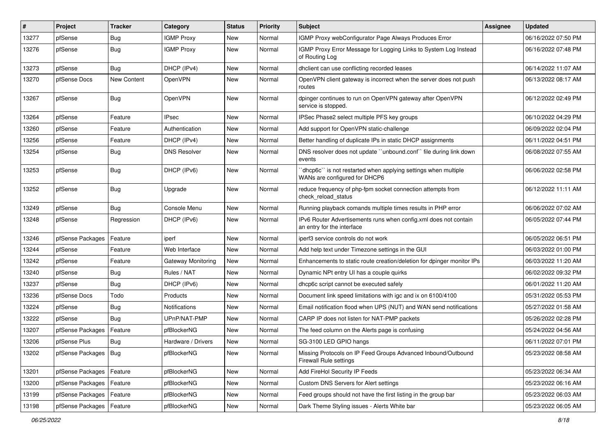| #     | Project                | <b>Tracker</b> | Category            | <b>Status</b> | <b>Priority</b> | <b>Subject</b>                                                                                   | <b>Assignee</b> | <b>Updated</b>      |
|-------|------------------------|----------------|---------------------|---------------|-----------------|--------------------------------------------------------------------------------------------------|-----------------|---------------------|
| 13277 | pfSense                | <b>Bug</b>     | <b>IGMP Proxy</b>   | New           | Normal          | IGMP Proxy webConfigurator Page Always Produces Error                                            |                 | 06/16/2022 07:50 PM |
| 13276 | pfSense                | <b>Bug</b>     | <b>IGMP Proxy</b>   | New           | Normal          | IGMP Proxy Error Message for Logging Links to System Log Instead<br>of Routing Log               |                 | 06/16/2022 07:48 PM |
| 13273 | pfSense                | Bug            | DHCP (IPv4)         | <b>New</b>    | Normal          | dhclient can use conflicting recorded leases                                                     |                 | 06/14/2022 11:07 AM |
| 13270 | pfSense Docs           | New Content    | OpenVPN             | New           | Normal          | OpenVPN client gateway is incorrect when the server does not push<br>routes                      |                 | 06/13/2022 08:17 AM |
| 13267 | pfSense                | <b>Bug</b>     | OpenVPN             | New           | Normal          | dpinger continues to run on OpenVPN gateway after OpenVPN<br>service is stopped.                 |                 | 06/12/2022 02:49 PM |
| 13264 | pfSense                | Feature        | <b>IPsec</b>        | New           | Normal          | IPSec Phase2 select multiple PFS key groups                                                      |                 | 06/10/2022 04:29 PM |
| 13260 | pfSense                | Feature        | Authentication      | New           | Normal          | Add support for OpenVPN static-challenge                                                         |                 | 06/09/2022 02:04 PM |
| 13256 | pfSense                | Feature        | DHCP (IPv4)         | New           | Normal          | Better handling of duplicate IPs in static DHCP assignments                                      |                 | 06/11/2022 04:51 PM |
| 13254 | pfSense                | <b>Bug</b>     | <b>DNS Resolver</b> | New           | Normal          | DNS resolver does not update "unbound.conf" file during link down<br>events                      |                 | 06/08/2022 07:55 AM |
| 13253 | pfSense                | <b>Bug</b>     | DHCP (IPv6)         | <b>New</b>    | Normal          | 'dhcp6c'' is not restarted when applying settings when multiple<br>WANs are configured for DHCP6 |                 | 06/06/2022 02:58 PM |
| 13252 | pfSense                | Bug            | Upgrade             | <b>New</b>    | Normal          | reduce frequency of php-fpm socket connection attempts from<br>check reload status               |                 | 06/12/2022 11:11 AM |
| 13249 | pfSense                | Bug            | Console Menu        | New           | Normal          | Running playback comands multiple times results in PHP error                                     |                 | 06/06/2022 07:02 AM |
| 13248 | pfSense                | Regression     | DHCP (IPv6)         | <b>New</b>    | Normal          | IPv6 Router Advertisements runs when config.xml does not contain<br>an entry for the interface   |                 | 06/05/2022 07:44 PM |
| 13246 | pfSense Packages       | Feature        | iperf               | New           | Normal          | iperf3 service controls do not work                                                              |                 | 06/05/2022 06:51 PM |
| 13244 | pfSense                | Feature        | Web Interface       | New           | Normal          | Add help text under Timezone settings in the GUI                                                 |                 | 06/03/2022 01:00 PM |
| 13242 | pfSense                | Feature        | Gateway Monitoring  | <b>New</b>    | Normal          | Enhancements to static route creation/deletion for dpinger monitor IPs                           |                 | 06/03/2022 11:20 AM |
| 13240 | pfSense                | Bug            | Rules / NAT         | <b>New</b>    | Normal          | Dynamic NPt entry UI has a couple quirks                                                         |                 | 06/02/2022 09:32 PM |
| 13237 | pfSense                | Bug            | DHCP (IPv6)         | New           | Normal          | dhcp6c script cannot be executed safely                                                          |                 | 06/01/2022 11:20 AM |
| 13236 | pfSense Docs           | Todo           | Products            | New           | Normal          | Document link speed limitations with igc and ix on 6100/4100                                     |                 | 05/31/2022 05:53 PM |
| 13224 | pfSense                | <b>Bug</b>     | Notifications       | New           | Normal          | Email notification flood when UPS (NUT) and WAN send notifications                               |                 | 05/27/2022 01:58 AM |
| 13222 | pfSense                | Bug            | UPnP/NAT-PMP        | New           | Normal          | CARP IP does not listen for NAT-PMP packets                                                      |                 | 05/26/2022 02:28 PM |
| 13207 | pfSense Packages       | Feature        | pfBlockerNG         | New           | Normal          | The feed column on the Alerts page is confusing                                                  |                 | 05/24/2022 04:56 AM |
| 13206 | pfSense Plus           | Bug            | Hardware / Drivers  | New           | Normal          | SG-3100 LED GPIO hangs                                                                           |                 | 06/11/2022 07:01 PM |
| 13202 | pfSense Packages   Bug |                | pfBlockerNG         | New           | Normal          | Missing Protocols on IP Feed Groups Advanced Inbound/Outbound<br><b>Firewall Rule settings</b>   |                 | 05/23/2022 08:58 AM |
| 13201 | pfSense Packages       | Feature        | pfBlockerNG         | New           | Normal          | Add FireHol Security IP Feeds                                                                    |                 | 05/23/2022 06:34 AM |
| 13200 | pfSense Packages       | Feature        | pfBlockerNG         | <b>New</b>    | Normal          | Custom DNS Servers for Alert settings                                                            |                 | 05/23/2022 06:16 AM |
| 13199 | pfSense Packages       | Feature        | pfBlockerNG         | New           | Normal          | Feed groups should not have the first listing in the group bar                                   |                 | 05/23/2022 06:03 AM |
| 13198 | pfSense Packages       | Feature        | pfBlockerNG         | New           | Normal          | Dark Theme Styling issues - Alerts White bar                                                     |                 | 05/23/2022 06:05 AM |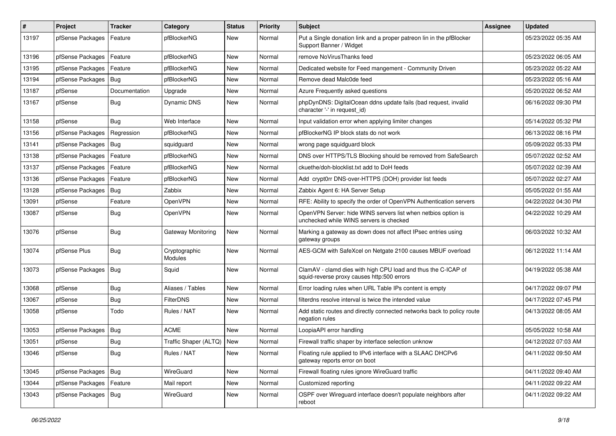| #     | Project          | <b>Tracker</b> | Category                    | <b>Status</b> | <b>Priority</b> | Subject                                                                                                     | <b>Assignee</b> | Updated             |
|-------|------------------|----------------|-----------------------------|---------------|-----------------|-------------------------------------------------------------------------------------------------------------|-----------------|---------------------|
| 13197 | pfSense Packages | Feature        | pfBlockerNG                 | New           | Normal          | Put a Single donation link and a proper patreon lin in the pfBlocker<br>Support Banner / Widget             |                 | 05/23/2022 05:35 AM |
| 13196 | pfSense Packages | Feature        | pfBlockerNG                 | New           | Normal          | remove NoVirusThanks feed                                                                                   |                 | 05/23/2022 06:05 AM |
| 13195 | pfSense Packages | Feature        | pfBlockerNG                 | New           | Normal          | Dedicated website for Feed mangement - Community Driven                                                     |                 | 05/23/2022 05:22 AM |
| 13194 | pfSense Packages | Bug            | pfBlockerNG                 | New           | Normal          | Remove dead Malc0de feed                                                                                    |                 | 05/23/2022 05:16 AM |
| 13187 | pfSense          | Documentation  | Upgrade                     | New           | Normal          | Azure Frequently asked questions                                                                            |                 | 05/20/2022 06:52 AM |
| 13167 | pfSense          | Bug            | Dynamic DNS                 | New           | Normal          | phpDynDNS: DigitalOcean ddns update fails (bad request, invalid<br>character '-' in request_id)             |                 | 06/16/2022 09:30 PM |
| 13158 | pfSense          | Bug            | Web Interface               | New           | Normal          | Input validation error when applying limiter changes                                                        |                 | 05/14/2022 05:32 PM |
| 13156 | pfSense Packages | Regression     | pfBlockerNG                 | New           | Normal          | pfBlockerNG IP block stats do not work                                                                      |                 | 06/13/2022 08:16 PM |
| 13141 | pfSense Packages | Bug            | squidguard                  | New           | Normal          | wrong page squidguard block                                                                                 |                 | 05/09/2022 05:33 PM |
| 13138 | pfSense Packages | Feature        | pfBlockerNG                 | New           | Normal          | DNS over HTTPS/TLS Blocking should be removed from SafeSearch                                               |                 | 05/07/2022 02:52 AM |
| 13137 | pfSense Packages | Feature        | pfBlockerNG                 | <b>New</b>    | Normal          | ckuethe/doh-blocklist.txt add to DoH feeds                                                                  |                 | 05/07/2022 02:39 AM |
| 13136 | pfSense Packages | Feature        | pfBlockerNG                 | New           | Normal          | Add crypt0rr DNS-over-HTTPS (DOH) provider list feeds                                                       |                 | 05/07/2022 02:27 AM |
| 13128 | pfSense Packages | <b>Bug</b>     | Zabbix                      | New           | Normal          | Zabbix Agent 6: HA Server Setup                                                                             |                 | 05/05/2022 01:55 AM |
| 13091 | pfSense          | Feature        | <b>OpenVPN</b>              | New           | Normal          | RFE: Ability to specify the order of OpenVPN Authentication servers                                         |                 | 04/22/2022 04:30 PM |
| 13087 | pfSense          | Bug            | OpenVPN                     | New           | Normal          | OpenVPN Server: hide WINS servers list when netbios option is<br>unchecked while WINS servers is checked    |                 | 04/22/2022 10:29 AM |
| 13076 | pfSense          | Bug            | <b>Gateway Monitoring</b>   | New           | Normal          | Marking a gateway as down does not affect IPsec entries using<br>gateway groups                             |                 | 06/03/2022 10:32 AM |
| 13074 | pfSense Plus     | Bug            | Cryptographic<br>Modules    | <b>New</b>    | Normal          | AES-GCM with SafeXcel on Netgate 2100 causes MBUF overload                                                  |                 | 06/12/2022 11:14 AM |
| 13073 | pfSense Packages | Bug            | Squid                       | New           | Normal          | ClamAV - clamd dies with high CPU load and thus the C-ICAP of<br>squid-reverse proxy causes http:500 errors |                 | 04/19/2022 05:38 AM |
| 13068 | pfSense          | Bug            | Aliases / Tables            | New           | Normal          | Error loading rules when URL Table IPs content is empty                                                     |                 | 04/17/2022 09:07 PM |
| 13067 | pfSense          | Bug            | <b>FilterDNS</b>            | New           | Normal          | filterdns resolve interval is twice the intended value                                                      |                 | 04/17/2022 07:45 PM |
| 13058 | pfSense          | Todo           | Rules / NAT                 | New           | Normal          | Add static routes and directly connected networks back to policy route<br>negation rules                    |                 | 04/13/2022 08:05 AM |
| 13053 | pfSense Packages | <b>Bug</b>     | <b>ACME</b>                 | New           | Normal          | LoopiaAPI error handling                                                                                    |                 | 05/05/2022 10:58 AM |
| 13051 | pfSense          | <b>Bug</b>     | Traffic Shaper (ALTQ)   New |               | Normal          | Firewall traffic shaper by interface selection unknow                                                       |                 | 04/12/2022 07:03 AM |
| 13046 | pfSense          | Bug            | Rules / NAT                 | New           | Normal          | Floating rule applied to IPv6 interface with a SLAAC DHCPv6<br>gateway reports error on boot                |                 | 04/11/2022 09:50 AM |
| 13045 | pfSense Packages | Bug            | WireGuard                   | New           | Normal          | Firewall floating rules ignore WireGuard traffic                                                            |                 | 04/11/2022 09:40 AM |
| 13044 | pfSense Packages | Feature        | Mail report                 | New           | Normal          | Customized reporting                                                                                        |                 | 04/11/2022 09:22 AM |
| 13043 | pfSense Packages | <b>Bug</b>     | WireGuard                   | New           | Normal          | OSPF over Wireguard interface doesn't populate neighbors after<br>reboot                                    |                 | 04/11/2022 09:22 AM |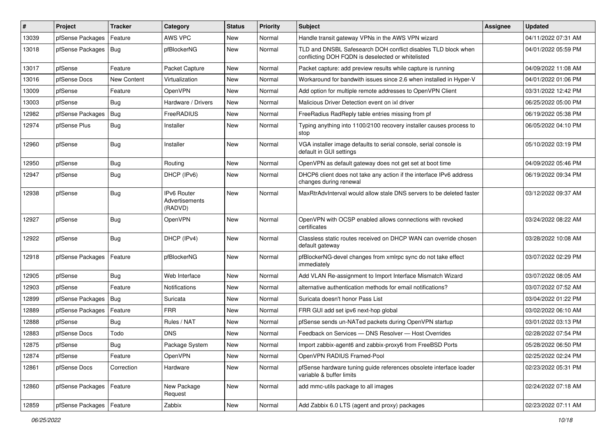| #     | Project          | <b>Tracker</b> | Category                                        | <b>Status</b> | Priority | Subject                                                                                                            | <b>Assignee</b> | <b>Updated</b>      |
|-------|------------------|----------------|-------------------------------------------------|---------------|----------|--------------------------------------------------------------------------------------------------------------------|-----------------|---------------------|
| 13039 | pfSense Packages | Feature        | AWS VPC                                         | New           | Normal   | Handle transit gateway VPNs in the AWS VPN wizard                                                                  |                 | 04/11/2022 07:31 AM |
| 13018 | pfSense Packages | Bug            | pfBlockerNG                                     | New           | Normal   | TLD and DNSBL Safesearch DOH conflict disables TLD block when<br>conflicting DOH FQDN is deselected or whitelisted |                 | 04/01/2022 05:59 PM |
| 13017 | pfSense          | Feature        | Packet Capture                                  | New           | Normal   | Packet capture: add preview results while capture is running                                                       |                 | 04/09/2022 11:08 AM |
| 13016 | pfSense Docs     | New Content    | Virtualization                                  | New           | Normal   | Workaround for bandwith issues since 2.6 when installed in Hyper-V                                                 |                 | 04/01/2022 01:06 PM |
| 13009 | pfSense          | Feature        | OpenVPN                                         | New           | Normal   | Add option for multiple remote addresses to OpenVPN Client                                                         |                 | 03/31/2022 12:42 PM |
| 13003 | pfSense          | Bug            | Hardware / Drivers                              | New           | Normal   | Malicious Driver Detection event on ixl driver                                                                     |                 | 06/25/2022 05:00 PM |
| 12982 | pfSense Packages | Bug            | FreeRADIUS                                      | New           | Normal   | FreeRadius RadReply table entries missing from pf                                                                  |                 | 06/19/2022 05:38 PM |
| 12974 | pfSense Plus     | Bug            | Installer                                       | New           | Normal   | Typing anything into 1100/2100 recovery installer causes process to<br>stop                                        |                 | 06/05/2022 04:10 PM |
| 12960 | pfSense          | Bug            | Installer                                       | New           | Normal   | VGA installer image defaults to serial console, serial console is<br>default in GUI settings                       |                 | 05/10/2022 03:19 PM |
| 12950 | pfSense          | Bug            | Routing                                         | New           | Normal   | OpenVPN as default gateway does not get set at boot time                                                           |                 | 04/09/2022 05:46 PM |
| 12947 | pfSense          | <b>Bug</b>     | DHCP (IPv6)                                     | New           | Normal   | DHCP6 client does not take any action if the interface IPv6 address<br>changes during renewal                      |                 | 06/19/2022 09:34 PM |
| 12938 | pfSense          | Bug            | <b>IPv6 Router</b><br>Advertisements<br>(RADVD) | <b>New</b>    | Normal   | MaxRtrAdvInterval would allow stale DNS servers to be deleted faster                                               |                 | 03/12/2022 09:37 AM |
| 12927 | pfSense          | Bug            | OpenVPN                                         | <b>New</b>    | Normal   | OpenVPN with OCSP enabled allows connections with revoked<br>certificates                                          |                 | 03/24/2022 08:22 AM |
| 12922 | pfSense          | <b>Bug</b>     | DHCP (IPv4)                                     | New           | Normal   | Classless static routes received on DHCP WAN can override chosen<br>default gateway                                |                 | 03/28/2022 10:08 AM |
| 12918 | pfSense Packages | Feature        | pfBlockerNG                                     | New           | Normal   | pfBlockerNG-devel changes from xmlrpc sync do not take effect<br>immediately                                       |                 | 03/07/2022 02:29 PM |
| 12905 | pfSense          | Bug            | Web Interface                                   | New           | Normal   | Add VLAN Re-assignment to Import Interface Mismatch Wizard                                                         |                 | 03/07/2022 08:05 AM |
| 12903 | pfSense          | Feature        | <b>Notifications</b>                            | New           | Normal   | alternative authentication methods for email notifications?                                                        |                 | 03/07/2022 07:52 AM |
| 12899 | pfSense Packages | <b>Bug</b>     | Suricata                                        | <b>New</b>    | Normal   | Suricata doesn't honor Pass List                                                                                   |                 | 03/04/2022 01:22 PM |
| 12889 | pfSense Packages | Feature        | <b>FRR</b>                                      | New           | Normal   | FRR GUI add set ipv6 next-hop global                                                                               |                 | 03/02/2022 06:10 AM |
| 12888 | pfSense          | <b>Bug</b>     | Rules / NAT                                     | New           | Normal   | pfSense sends un-NATed packets during OpenVPN startup                                                              |                 | 03/01/2022 03:13 PM |
| 12883 | pfSense Docs     | Todo           | <b>DNS</b>                                      | New           | Normal   | Feedback on Services - DNS Resolver - Host Overrides                                                               |                 | 02/28/2022 07:54 PM |
| 12875 | pfSense          | Bug            | Package System                                  | New           | Normal   | Import zabbix-agent6 and zabbix-proxy6 from FreeBSD Ports                                                          |                 | 05/28/2022 06:50 PM |
| 12874 | pfSense          | Feature        | OpenVPN                                         | New           | Normal   | OpenVPN RADIUS Framed-Pool                                                                                         |                 | 02/25/2022 02:24 PM |
| 12861 | pfSense Docs     | Correction     | Hardware                                        | New           | Normal   | pfSense hardware tuning guide references obsolete interface loader<br>variable & buffer limits                     |                 | 02/23/2022 05:31 PM |
| 12860 | pfSense Packages | Feature        | New Package<br>Request                          | New           | Normal   | add mmc-utils package to all images                                                                                |                 | 02/24/2022 07:18 AM |
| 12859 | pfSense Packages | Feature        | Zabbix                                          | New           | Normal   | Add Zabbix 6.0 LTS (agent and proxy) packages                                                                      |                 | 02/23/2022 07:11 AM |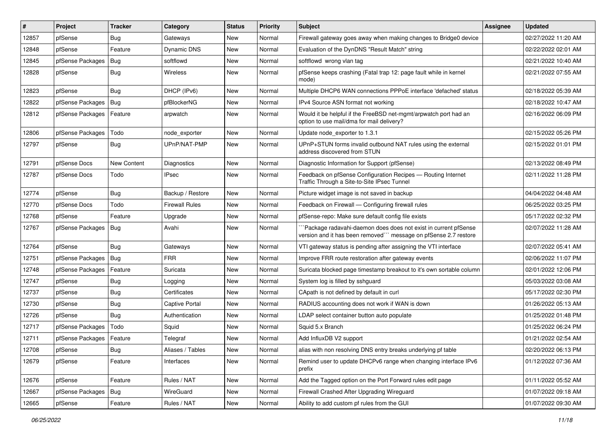| #     | Project          | <b>Tracker</b> | Category              | <b>Status</b> | <b>Priority</b> | <b>Subject</b>                                                                                                                     | <b>Assignee</b> | <b>Updated</b>      |
|-------|------------------|----------------|-----------------------|---------------|-----------------|------------------------------------------------------------------------------------------------------------------------------------|-----------------|---------------------|
| 12857 | pfSense          | <b>Bug</b>     | Gateways              | New           | Normal          | Firewall gateway goes away when making changes to Bridge0 device                                                                   |                 | 02/27/2022 11:20 AM |
| 12848 | pfSense          | Feature        | Dynamic DNS           | New           | Normal          | Evaluation of the DynDNS "Result Match" string                                                                                     |                 | 02/22/2022 02:01 AM |
| 12845 | pfSense Packages | Bug            | softflowd             | New           | Normal          | softflowd wrong vlan tag                                                                                                           |                 | 02/21/2022 10:40 AM |
| 12828 | pfSense          | <b>Bug</b>     | Wireless              | New           | Normal          | pfSense keeps crashing (Fatal trap 12: page fault while in kernel<br>mode)                                                         |                 | 02/21/2022 07:55 AM |
| 12823 | pfSense          | Bug            | DHCP (IPv6)           | New           | Normal          | Multiple DHCP6 WAN connections PPPoE interface 'defached' status                                                                   |                 | 02/18/2022 05:39 AM |
| 12822 | pfSense Packages | Bug            | pfBlockerNG           | New           | Normal          | IPv4 Source ASN format not working                                                                                                 |                 | 02/18/2022 10:47 AM |
| 12812 | pfSense Packages | Feature        | arpwatch              | <b>New</b>    | Normal          | Would it be helpful if the FreeBSD net-mgmt/arpwatch port had an<br>option to use mail/dma for mail delivery?                      |                 | 02/16/2022 06:09 PM |
| 12806 | pfSense Packages | Todo           | node_exporter         | New           | Normal          | Update node exporter to 1.3.1                                                                                                      |                 | 02/15/2022 05:26 PM |
| 12797 | pfSense          | <b>Bug</b>     | UPnP/NAT-PMP          | New           | Normal          | UPnP+STUN forms invalid outbound NAT rules using the external<br>address discovered from STUN                                      |                 | 02/15/2022 01:01 PM |
| 12791 | pfSense Docs     | New Content    | Diagnostics           | <b>New</b>    | Normal          | Diagnostic Information for Support (pfSense)                                                                                       |                 | 02/13/2022 08:49 PM |
| 12787 | pfSense Docs     | Todo           | IPsec                 | New           | Normal          | Feedback on pfSense Configuration Recipes - Routing Internet<br>Traffic Through a Site-to-Site IPsec Tunnel                        |                 | 02/11/2022 11:28 PM |
| 12774 | pfSense          | Bug            | Backup / Restore      | <b>New</b>    | Normal          | Picture widget image is not saved in backup                                                                                        |                 | 04/04/2022 04:48 AM |
| 12770 | pfSense Docs     | Todo           | <b>Firewall Rules</b> | New           | Normal          | Feedback on Firewall - Configuring firewall rules                                                                                  |                 | 06/25/2022 03:25 PM |
| 12768 | pfSense          | Feature        | Upgrade               | New           | Normal          | pfSense-repo: Make sure default config file exists                                                                                 |                 | 05/17/2022 02:32 PM |
| 12767 | pfSense Packages | Bug            | Avahi                 | New           | Normal          | Package radavahi-daemon does does not exist in current pfSense<br>version and it has been removed"" message on pfSense 2.7 restore |                 | 02/07/2022 11:28 AM |
| 12764 | pfSense          | <b>Bug</b>     | Gateways              | New           | Normal          | VTI gateway status is pending after assigning the VTI interface                                                                    |                 | 02/07/2022 05:41 AM |
| 12751 | pfSense Packages | Bug            | <b>FRR</b>            | New           | Normal          | Improve FRR route restoration after gateway events                                                                                 |                 | 02/06/2022 11:07 PM |
| 12748 | pfSense Packages | Feature        | Suricata              | New           | Normal          | Suricata blocked page timestamp breakout to it's own sortable column                                                               |                 | 02/01/2022 12:06 PM |
| 12747 | pfSense          | Bug            | Logging               | <b>New</b>    | Normal          | System log is filled by sshguard                                                                                                   |                 | 05/03/2022 03:08 AM |
| 12737 | pfSense          | Bug            | Certificates          | New           | Normal          | CApath is not defined by default in curl                                                                                           |                 | 05/17/2022 02:30 PM |
| 12730 | pfSense          | Bug            | Captive Portal        | New           | Normal          | RADIUS accounting does not work if WAN is down                                                                                     |                 | 01/26/2022 05:13 AM |
| 12726 | pfSense          | Bug            | Authentication        | New           | Normal          | LDAP select container button auto populate                                                                                         |                 | 01/25/2022 01:48 PM |
| 12717 | pfSense Packages | Todo           | Squid                 | <b>New</b>    | Normal          | Squid 5.x Branch                                                                                                                   |                 | 01/25/2022 06:24 PM |
| 12711 | pfSense Packages | Feature        | Telegraf              | <b>New</b>    | Normal          | Add InfluxDB V2 support                                                                                                            |                 | 01/21/2022 02:54 AM |
| 12708 | pfSense          | Bug            | Aliases / Tables      | New           | Normal          | alias with non resolving DNS entry breaks underlying pf table                                                                      |                 | 02/20/2022 06:13 PM |
| 12679 | pfSense          | Feature        | Interfaces            | New           | Normal          | Remind user to update DHCPv6 range when changing interface IPv6<br>prefix                                                          |                 | 01/12/2022 07:36 AM |
| 12676 | pfSense          | Feature        | Rules / NAT           | New           | Normal          | Add the Tagged option on the Port Forward rules edit page                                                                          |                 | 01/11/2022 05:52 AM |
| 12667 | pfSense Packages | Bug            | WireGuard             | New           | Normal          | Firewall Crashed After Upgrading Wireguard                                                                                         |                 | 01/07/2022 09:18 AM |
| 12665 | pfSense          | Feature        | Rules / NAT           | New           | Normal          | Ability to add custom pf rules from the GUI                                                                                        |                 | 01/07/2022 09:30 AM |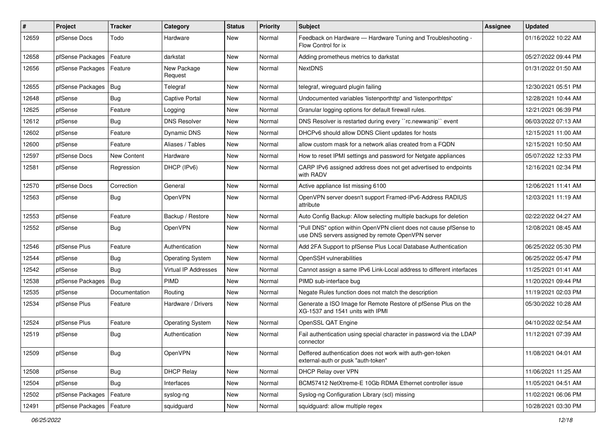| #     | Project          | <b>Tracker</b> | Category                | <b>Status</b> | <b>Priority</b> | <b>Subject</b>                                                                                                         | Assignee | <b>Updated</b>      |
|-------|------------------|----------------|-------------------------|---------------|-----------------|------------------------------------------------------------------------------------------------------------------------|----------|---------------------|
| 12659 | pfSense Docs     | Todo           | Hardware                | New           | Normal          | Feedback on Hardware - Hardware Tuning and Troubleshooting -<br>Flow Control for ix                                    |          | 01/16/2022 10:22 AM |
| 12658 | pfSense Packages | Feature        | darkstat                | New           | Normal          | Adding prometheus metrics to darkstat                                                                                  |          | 05/27/2022 09:44 PM |
| 12656 | pfSense Packages | Feature        | New Package<br>Request  | New           | Normal          | <b>NextDNS</b>                                                                                                         |          | 01/31/2022 01:50 AM |
| 12655 | pfSense Packages | <b>Bug</b>     | Telegraf                | New           | Normal          | telegraf, wireguard plugin failing                                                                                     |          | 12/30/2021 05:51 PM |
| 12648 | pfSense          | Bug            | <b>Captive Portal</b>   | New           | Normal          | Undocumented variables 'listenporthttp' and 'listenporthttps'                                                          |          | 12/28/2021 10:44 AM |
| 12625 | pfSense          | Feature        | Logging                 | <b>New</b>    | Normal          | Granular logging options for default firewall rules.                                                                   |          | 12/21/2021 06:39 PM |
| 12612 | pfSense          | Bug            | <b>DNS Resolver</b>     | New           | Normal          | DNS Resolver is restarted during every "rc.newwanip" event                                                             |          | 06/03/2022 07:13 AM |
| 12602 | pfSense          | Feature        | <b>Dynamic DNS</b>      | New           | Normal          | DHCPv6 should allow DDNS Client updates for hosts                                                                      |          | 12/15/2021 11:00 AM |
| 12600 | pfSense          | Feature        | Aliases / Tables        | New           | Normal          | allow custom mask for a network alias created from a FQDN                                                              |          | 12/15/2021 10:50 AM |
| 12597 | pfSense Docs     | New Content    | Hardware                | New           | Normal          | How to reset IPMI settings and password for Netgate appliances                                                         |          | 05/07/2022 12:33 PM |
| 12581 | pfSense          | Regression     | DHCP (IPv6)             | <b>New</b>    | Normal          | CARP IPv6 assigned address does not get advertised to endpoints<br>with RADV                                           |          | 12/16/2021 02:34 PM |
| 12570 | pfSense Docs     | Correction     | General                 | New           | Normal          | Active appliance list missing 6100                                                                                     |          | 12/06/2021 11:41 AM |
| 12563 | pfSense          | Bug            | OpenVPN                 | New           | Normal          | OpenVPN server doesn't support Framed-IPv6-Address RADIUS<br>attribute                                                 |          | 12/03/2021 11:19 AM |
| 12553 | pfSense          | Feature        | Backup / Restore        | <b>New</b>    | Normal          | Auto Config Backup: Allow selecting multiple backups for deletion                                                      |          | 02/22/2022 04:27 AM |
| 12552 | pfSense          | Bug            | OpenVPN                 | New           | Normal          | "Pull DNS" option within OpenVPN client does not cause pfSense to<br>use DNS servers assigned by remote OpenVPN server |          | 12/08/2021 08:45 AM |
| 12546 | pfSense Plus     | Feature        | Authentication          | <b>New</b>    | Normal          | Add 2FA Support to pfSense Plus Local Database Authentication                                                          |          | 06/25/2022 05:30 PM |
| 12544 | pfSense          | <b>Bug</b>     | <b>Operating System</b> | New           | Normal          | OpenSSH vulnerabilities                                                                                                |          | 06/25/2022 05:47 PM |
| 12542 | pfSense          | Bug            | Virtual IP Addresses    | New           | Normal          | Cannot assign a same IPv6 Link-Local address to different interfaces                                                   |          | 11/25/2021 01:41 AM |
| 12538 | pfSense Packages | Bug            | PIMD                    | New           | Normal          | PIMD sub-interface bug                                                                                                 |          | 11/20/2021 09:44 PM |
| 12535 | pfSense          | Documentation  | Routing                 | New           | Normal          | Negate Rules function does not match the description                                                                   |          | 11/19/2021 02:03 PM |
| 12534 | pfSense Plus     | Feature        | Hardware / Drivers      | New           | Normal          | Generate a ISO Image for Remote Restore of pfSense Plus on the<br>XG-1537 and 1541 units with IPMI                     |          | 05/30/2022 10:28 AM |
| 12524 | pfSense Plus     | Feature        | <b>Operating System</b> | New           | Normal          | OpenSSL QAT Engine                                                                                                     |          | 04/10/2022 02:54 AM |
| 12519 | pfSense          | <b>Bug</b>     | Authentication          | <b>New</b>    | Normal          | Fail authentication using special character in password via the LDAP<br>connector                                      |          | 11/12/2021 07:39 AM |
| 12509 | pfSense          | <b>Bug</b>     | OpenVPN                 | New           | Normal          | Deffered authentication does not work with auth-gen-token<br>external-auth or pusk "auth-token"                        |          | 11/08/2021 04:01 AM |
| 12508 | pfSense          | <b>Bug</b>     | <b>DHCP Relay</b>       | New           | Normal          | DHCP Relay over VPN                                                                                                    |          | 11/06/2021 11:25 AM |
| 12504 | pfSense          | <b>Bug</b>     | Interfaces              | New           | Normal          | BCM57412 NetXtreme-E 10Gb RDMA Ethernet controller issue                                                               |          | 11/05/2021 04:51 AM |
| 12502 | pfSense Packages | Feature        | syslog-ng               | New           | Normal          | Syslog-ng Configuration Library (scl) missing                                                                          |          | 11/02/2021 06:06 PM |
| 12491 | pfSense Packages | Feature        | squidguard              | New           | Normal          | squidguard: allow multiple regex                                                                                       |          | 10/28/2021 03:30 PM |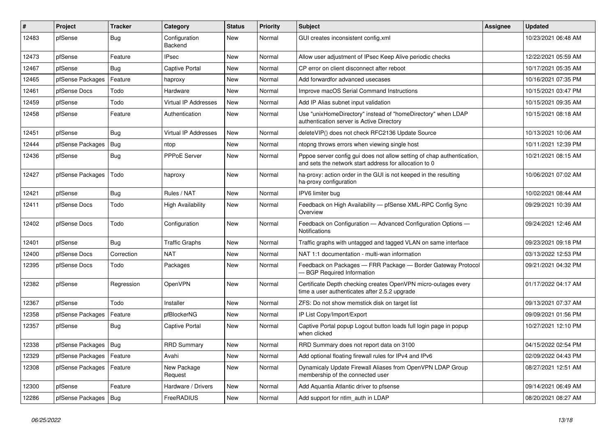| $\vert$ # | Project                | <b>Tracker</b> | Category                    | <b>Status</b> | <b>Priority</b> | Subject                                                                                                                          | <b>Assignee</b> | <b>Updated</b>      |
|-----------|------------------------|----------------|-----------------------------|---------------|-----------------|----------------------------------------------------------------------------------------------------------------------------------|-----------------|---------------------|
| 12483     | pfSense                | <b>Bug</b>     | Configuration<br>Backend    | New           | Normal          | GUI creates inconsistent config.xml                                                                                              |                 | 10/23/2021 06:48 AM |
| 12473     | pfSense                | Feature        | <b>IPsec</b>                | New           | Normal          | Allow user adjustment of IPsec Keep Alive periodic checks                                                                        |                 | 12/22/2021 05:59 AM |
| 12467     | pfSense                | Bug            | <b>Captive Portal</b>       | New           | Normal          | CP error on client disconnect after reboot                                                                                       |                 | 10/17/2021 05:35 AM |
| 12465     | pfSense Packages       | Feature        | haproxy                     | New           | Normal          | Add forwardfor advanced usecases                                                                                                 |                 | 10/16/2021 07:35 PM |
| 12461     | pfSense Docs           | Todo           | Hardware                    | New           | Normal          | Improve macOS Serial Command Instructions                                                                                        |                 | 10/15/2021 03:47 PM |
| 12459     | pfSense                | Todo           | <b>Virtual IP Addresses</b> | <b>New</b>    | Normal          | Add IP Alias subnet input validation                                                                                             |                 | 10/15/2021 09:35 AM |
| 12458     | pfSense                | Feature        | Authentication              | <b>New</b>    | Normal          | Use "unixHomeDirectory" instead of "homeDirectory" when LDAP<br>authentication server is Active Directory                        |                 | 10/15/2021 08:18 AM |
| 12451     | pfSense                | Bug            | Virtual IP Addresses        | New           | Normal          | deleteVIP() does not check RFC2136 Update Source                                                                                 |                 | 10/13/2021 10:06 AM |
| 12444     | pfSense Packages       | Bug            | ntop                        | New           | Normal          | ntopng throws errors when viewing single host                                                                                    |                 | 10/11/2021 12:39 PM |
| 12436     | pfSense                | Bug            | PPPoE Server                | New           | Normal          | Pppoe server config gui does not allow setting of chap authentication,<br>and sets the network start address for allocation to 0 |                 | 10/21/2021 08:15 AM |
| 12427     | pfSense Packages       | Todo           | haproxy                     | New           | Normal          | ha-proxy: action order in the GUI is not keeped in the resulting<br>ha-proxy configuration                                       |                 | 10/06/2021 07:02 AM |
| 12421     | pfSense                | Bug            | Rules / NAT                 | New           | Normal          | IPV6 limiter bug                                                                                                                 |                 | 10/02/2021 08:44 AM |
| 12411     | pfSense Docs           | Todo           | <b>High Availability</b>    | New           | Normal          | Feedback on High Availability - pfSense XML-RPC Config Sync<br>Overview                                                          |                 | 09/29/2021 10:39 AM |
| 12402     | pfSense Docs           | Todo           | Configuration               | <b>New</b>    | Normal          | Feedback on Configuration - Advanced Configuration Options -<br>Notifications                                                    |                 | 09/24/2021 12:46 AM |
| 12401     | pfSense                | Bug            | <b>Traffic Graphs</b>       | <b>New</b>    | Normal          | Traffic graphs with untagged and tagged VLAN on same interface                                                                   |                 | 09/23/2021 09:18 PM |
| 12400     | pfSense Docs           | Correction     | <b>NAT</b>                  | New           | Normal          | NAT 1:1 documentation - multi-wan information                                                                                    |                 | 03/13/2022 12:53 PM |
| 12395     | pfSense Docs           | Todo           | Packages                    | New           | Normal          | Feedback on Packages - FRR Package - Border Gateway Protocol<br><b>BGP Required Information</b>                                  |                 | 09/21/2021 04:32 PM |
| 12382     | pfSense                | Regression     | OpenVPN                     | New           | Normal          | Certificate Depth checking creates OpenVPN micro-outages every<br>time a user authenticates after 2.5.2 upgrade                  |                 | 01/17/2022 04:17 AM |
| 12367     | pfSense                | Todo           | Installer                   | <b>New</b>    | Normal          | ZFS: Do not show memstick disk on target list                                                                                    |                 | 09/13/2021 07:37 AM |
| 12358     | pfSense Packages       | Feature        | pfBlockerNG                 | New           | Normal          | IP List Copy/Import/Export                                                                                                       |                 | 09/09/2021 01:56 PM |
| 12357     | pfSense                | <b>Bug</b>     | Captive Portal              | New           | Normal          | Captive Portal popup Logout button loads full login page in popup<br>when clicked                                                |                 | 10/27/2021 12:10 PM |
| 12338     | pfSense Packages   Bug |                | <b>RRD Summary</b>          | New           | Normal          | RRD Summary does not report data on 3100                                                                                         |                 | 04/15/2022 02:54 PM |
| 12329     | pfSense Packages       | Feature        | Avahi                       | <b>New</b>    | Normal          | Add optional floating firewall rules for IPv4 and IPv6                                                                           |                 | 02/09/2022 04:43 PM |
| 12308     | pfSense Packages       | Feature        | New Package<br>Request      | New           | Normal          | Dynamicaly Update Firewall Aliases from OpenVPN LDAP Group<br>membership of the connected user                                   |                 | 08/27/2021 12:51 AM |
| 12300     | pfSense                | Feature        | Hardware / Drivers          | New           | Normal          | Add Aquantia Atlantic driver to pfsense                                                                                          |                 | 09/14/2021 06:49 AM |
| 12286     | pfSense Packages       | <b>Bug</b>     | FreeRADIUS                  | New           | Normal          | Add support for ntlm_auth in LDAP                                                                                                |                 | 08/20/2021 08:27 AM |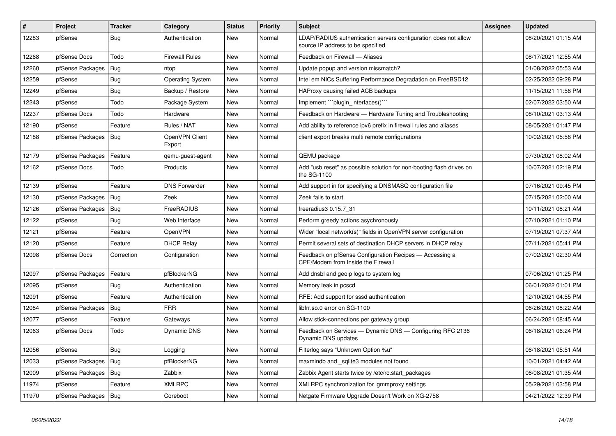| #     | Project                | <b>Tracker</b> | Category                 | <b>Status</b> | <b>Priority</b> | <b>Subject</b>                                                                                       | <b>Assignee</b> | <b>Updated</b>      |
|-------|------------------------|----------------|--------------------------|---------------|-----------------|------------------------------------------------------------------------------------------------------|-----------------|---------------------|
| 12283 | pfSense                | <b>Bug</b>     | Authentication           | <b>New</b>    | Normal          | LDAP/RADIUS authentication servers configuration does not allow<br>source IP address to be specified |                 | 08/20/2021 01:15 AM |
| 12268 | pfSense Docs           | Todo           | <b>Firewall Rules</b>    | <b>New</b>    | Normal          | Feedback on Firewall - Aliases                                                                       |                 | 08/17/2021 12:55 AM |
| 12260 | pfSense Packages       | Bug            | ntop                     | <b>New</b>    | Normal          | Update popup and version missmatch?                                                                  |                 | 01/08/2022 05:53 AM |
| 12259 | pfSense                | Bug            | <b>Operating System</b>  | <b>New</b>    | Normal          | Intel em NICs Suffering Performance Degradation on FreeBSD12                                         |                 | 02/25/2022 09:28 PM |
| 12249 | pfSense                | <b>Bug</b>     | Backup / Restore         | New           | Normal          | HAProxy causing failed ACB backups                                                                   |                 | 11/15/2021 11:58 PM |
| 12243 | pfSense                | Todo           | Package System           | <b>New</b>    | Normal          | Implement ""plugin interfaces()""                                                                    |                 | 02/07/2022 03:50 AM |
| 12237 | pfSense Docs           | Todo           | Hardware                 | <b>New</b>    | Normal          | Feedback on Hardware - Hardware Tuning and Troubleshooting                                           |                 | 08/10/2021 03:13 AM |
| 12190 | pfSense                | Feature        | Rules / NAT              | <b>New</b>    | Normal          | Add ability to reference ipv6 prefix in firewall rules and aliases                                   |                 | 08/05/2021 01:47 PM |
| 12188 | pfSense Packages       | Bug            | OpenVPN Client<br>Export | New           | Normal          | client export breaks multi remote configurations                                                     |                 | 10/02/2021 05:58 PM |
| 12179 | pfSense Packages       | Feature        | qemu-guest-agent         | New           | Normal          | QEMU package                                                                                         |                 | 07/30/2021 08:02 AM |
| 12162 | pfSense Docs           | Todo           | Products                 | New           | Normal          | Add "usb reset" as possible solution for non-booting flash drives on<br>the SG-1100                  |                 | 10/07/2021 02:19 PM |
| 12139 | pfSense                | Feature        | <b>DNS Forwarder</b>     | New           | Normal          | Add support in for specifying a DNSMASQ configuration file                                           |                 | 07/16/2021 09:45 PM |
| 12130 | pfSense Packages       | Bug            | Zeek                     | New           | Normal          | Zeek fails to start                                                                                  |                 | 07/15/2021 02:00 AM |
| 12126 | pfSense Packages       | Bug            | FreeRADIUS               | New           | Normal          | freeradius3 0.15.7 31                                                                                |                 | 10/11/2021 08:21 AM |
| 12122 | pfSense                | Bug            | Web Interface            | New           | Normal          | Perform greedy actions asychronously                                                                 |                 | 07/10/2021 01:10 PM |
| 12121 | pfSense                | Feature        | OpenVPN                  | New           | Normal          | Wider "local network(s)" fields in OpenVPN server configuration                                      |                 | 07/19/2021 07:37 AM |
| 12120 | pfSense                | Feature        | <b>DHCP Relay</b>        | New           | Normal          | Permit several sets of destination DHCP servers in DHCP relay                                        |                 | 07/11/2021 05:41 PM |
| 12098 | pfSense Docs           | Correction     | Configuration            | New           | Normal          | Feedback on pfSense Configuration Recipes — Accessing a<br>CPE/Modem from Inside the Firewall        |                 | 07/02/2021 02:30 AM |
| 12097 | pfSense Packages       | Feature        | pfBlockerNG              | New           | Normal          | Add dnsbl and geoip logs to system log                                                               |                 | 07/06/2021 01:25 PM |
| 12095 | pfSense                | Bug            | Authentication           | New           | Normal          | Memory leak in pcscd                                                                                 |                 | 06/01/2022 01:01 PM |
| 12091 | pfSense                | Feature        | Authentication           | New           | Normal          | RFE: Add support for sssd authentication                                                             |                 | 12/10/2021 04:55 PM |
| 12084 | pfSense Packages       | Bug            | <b>FRR</b>               | New           | Normal          | libfrr.so.0 error on SG-1100                                                                         |                 | 06/26/2021 08:22 AM |
| 12077 | pfSense                | Feature        | Gateways                 | New           | Normal          | Allow stick-connections per gateway group                                                            |                 | 06/24/2021 08:45 AM |
| 12063 | pfSense Docs           | Todo           | Dynamic DNS              | New           | Normal          | Feedback on Services - Dynamic DNS - Configuring RFC 2136<br>Dynamic DNS updates                     |                 | 06/18/2021 06:24 PM |
| 12056 | pfSense                | Bug            | Logging                  | <b>New</b>    | Normal          | Filterlog says "Unknown Option %u"                                                                   |                 | 06/18/2021 05:51 AM |
| 12033 | pfSense Packages       | Bug            | pfBlockerNG              | New           | Normal          | maxmindb and sqlite3 modules not found                                                               |                 | 10/01/2021 04:42 AM |
| 12009 | pfSense Packages       | Bug            | Zabbix                   | New           | Normal          | Zabbix Agent starts twice by /etc/rc.start packages                                                  |                 | 06/08/2021 01:35 AM |
| 11974 | pfSense                | Feature        | <b>XMLRPC</b>            | New           | Normal          | XMLRPC synchronization for igmmproxy settings                                                        |                 | 05/29/2021 03:58 PM |
| 11970 | pfSense Packages   Bug |                | Coreboot                 | New           | Normal          | Netgate Firmware Upgrade Doesn't Work on XG-2758                                                     |                 | 04/21/2022 12:39 PM |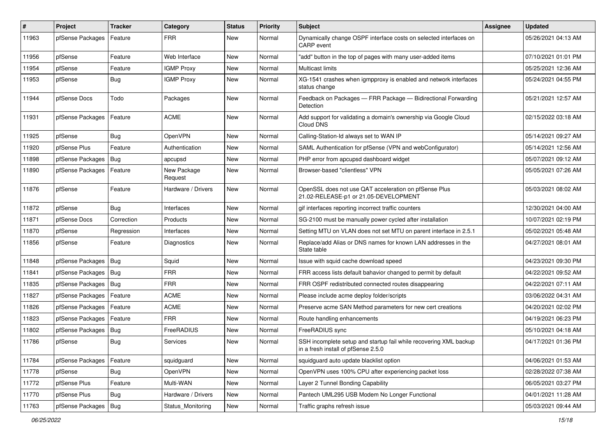| $\sharp$ | Project                | <b>Tracker</b> | Category               | <b>Status</b> | <b>Priority</b> | <b>Subject</b>                                                                                           | Assignee | <b>Updated</b>      |
|----------|------------------------|----------------|------------------------|---------------|-----------------|----------------------------------------------------------------------------------------------------------|----------|---------------------|
| 11963    | pfSense Packages       | Feature        | <b>FRR</b>             | New           | Normal          | Dynamically change OSPF interface costs on selected interfaces on<br><b>CARP</b> event                   |          | 05/26/2021 04:13 AM |
| 11956    | pfSense                | Feature        | Web Interface          | New           | Normal          | "add" button in the top of pages with many user-added items                                              |          | 07/10/2021 01:01 PM |
| 11954    | pfSense                | Feature        | <b>IGMP Proxy</b>      | New           | Normal          | Multicast limits                                                                                         |          | 05/25/2021 12:36 AM |
| 11953    | pfSense                | Bug            | <b>IGMP Proxy</b>      | <b>New</b>    | Normal          | XG-1541 crashes when igmpproxy is enabled and network interfaces<br>status change                        |          | 05/24/2021 04:55 PM |
| 11944    | pfSense Docs           | Todo           | Packages               | New           | Normal          | Feedback on Packages - FRR Package - Bidirectional Forwarding<br>Detection                               |          | 05/21/2021 12:57 AM |
| 11931    | pfSense Packages       | Feature        | <b>ACME</b>            | New           | Normal          | Add support for validating a domain's ownership via Google Cloud<br>Cloud DNS                            |          | 02/15/2022 03:18 AM |
| 11925    | pfSense                | Bug            | OpenVPN                | New           | Normal          | Calling-Station-Id always set to WAN IP                                                                  |          | 05/14/2021 09:27 AM |
| 11920    | pfSense Plus           | Feature        | Authentication         | New           | Normal          | SAML Authentication for pfSense (VPN and webConfigurator)                                                |          | 05/14/2021 12:56 AM |
| 11898    | pfSense Packages       | Bug            | apcupsd                | <b>New</b>    | Normal          | PHP error from apcupsd dashboard widget                                                                  |          | 05/07/2021 09:12 AM |
| 11890    | pfSense Packages       | Feature        | New Package<br>Request | New           | Normal          | Browser-based "clientless" VPN                                                                           |          | 05/05/2021 07:26 AM |
| 11876    | pfSense                | Feature        | Hardware / Drivers     | <b>New</b>    | Normal          | OpenSSL does not use QAT acceleration on pfSense Plus<br>21.02-RELEASE-p1 or 21.05-DEVELOPMENT           |          | 05/03/2021 08:02 AM |
| 11872    | pfSense                | Bug            | Interfaces             | New           | Normal          | gif interfaces reporting incorrect traffic counters                                                      |          | 12/30/2021 04:00 AM |
| 11871    | pfSense Docs           | Correction     | Products               | New           | Normal          | SG-2100 must be manually power cycled after installation                                                 |          | 10/07/2021 02:19 PM |
| 11870    | pfSense                | Regression     | Interfaces             | New           | Normal          | Setting MTU on VLAN does not set MTU on parent interface in 2.5.1                                        |          | 05/02/2021 05:48 AM |
| 11856    | pfSense                | Feature        | Diagnostics            | New           | Normal          | Replace/add Alias or DNS names for known LAN addresses in the<br>State table                             |          | 04/27/2021 08:01 AM |
| 11848    | pfSense Packages   Bug |                | Squid                  | New           | Normal          | Issue with squid cache download speed                                                                    |          | 04/23/2021 09:30 PM |
| 11841    | pfSense Packages       | Bug            | <b>FRR</b>             | New           | Normal          | FRR access lists default bahavior changed to permit by default                                           |          | 04/22/2021 09:52 AM |
| 11835    | pfSense Packages       | Bug            | <b>FRR</b>             | New           | Normal          | FRR OSPF redistributed connected routes disappearing                                                     |          | 04/22/2021 07:11 AM |
| 11827    | pfSense Packages       | Feature        | <b>ACME</b>            | New           | Normal          | Please include acme deploy folder/scripts                                                                |          | 03/06/2022 04:31 AM |
| 11826    | pfSense Packages       | Feature        | <b>ACME</b>            | New           | Normal          | Preserve acme SAN Method parameters for new cert creations                                               |          | 04/20/2021 02:02 PM |
| 11823    | pfSense Packages       | Feature        | <b>FRR</b>             | New           | Normal          | Route handling enhancements                                                                              |          | 04/19/2021 06:23 PM |
| 11802    | pfSense Packages       | <b>Bug</b>     | FreeRADIUS             | New           | Normal          | FreeRADIUS sync                                                                                          |          | 05/10/2021 04:18 AM |
| 11786    | pfSense                | <b>Bug</b>     | Services               | New           | Normal          | SSH incomplete setup and startup fail while recovering XML backup<br>in a fresh install of pfSense 2.5.0 |          | 04/17/2021 01:36 PM |
| 11784    | pfSense Packages       | Feature        | squidguard             | <b>New</b>    | Normal          | squidguard auto update blacklist option                                                                  |          | 04/06/2021 01:53 AM |
| 11778    | pfSense                | <b>Bug</b>     | OpenVPN                | New           | Normal          | OpenVPN uses 100% CPU after experiencing packet loss                                                     |          | 02/28/2022 07:38 AM |
| 11772    | pfSense Plus           | Feature        | Multi-WAN              | New           | Normal          | Layer 2 Tunnel Bonding Capability                                                                        |          | 06/05/2021 03:27 PM |
| 11770    | pfSense Plus           | Bug            | Hardware / Drivers     | New           | Normal          | Pantech UML295 USB Modem No Longer Functional                                                            |          | 04/01/2021 11:28 AM |
| 11763    | pfSense Packages   Bug |                | Status_Monitoring      | New           | Normal          | Traffic graphs refresh issue                                                                             |          | 05/03/2021 09:44 AM |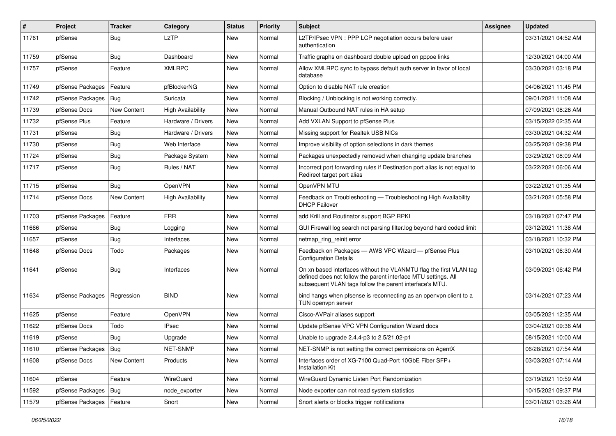| #     | Project                | <b>Tracker</b> | Category                 | <b>Status</b> | Priority | <b>Subject</b>                                                                                                                                                                                  | <b>Assignee</b> | <b>Updated</b>      |
|-------|------------------------|----------------|--------------------------|---------------|----------|-------------------------------------------------------------------------------------------------------------------------------------------------------------------------------------------------|-----------------|---------------------|
| 11761 | pfSense                | <b>Bug</b>     | L <sub>2</sub> TP        | New           | Normal   | L2TP/IPsec VPN : PPP LCP negotiation occurs before user<br>authentication                                                                                                                       |                 | 03/31/2021 04:52 AM |
| 11759 | pfSense                | Bug            | Dashboard                | New           | Normal   | Traffic graphs on dashboard double upload on pppoe links                                                                                                                                        |                 | 12/30/2021 04:00 AM |
| 11757 | pfSense                | Feature        | <b>XMLRPC</b>            | New           | Normal   | Allow XMLRPC sync to bypass default auth server in favor of local<br>database                                                                                                                   |                 | 03/30/2021 03:18 PM |
| 11749 | pfSense Packages       | Feature        | pfBlockerNG              | New           | Normal   | Option to disable NAT rule creation                                                                                                                                                             |                 | 04/06/2021 11:45 PM |
| 11742 | pfSense Packages       | Bug            | Suricata                 | New           | Normal   | Blocking / Unblocking is not working correctly.                                                                                                                                                 |                 | 09/01/2021 11:08 AM |
| 11739 | pfSense Docs           | New Content    | <b>High Availability</b> | New           | Normal   | Manual Outbound NAT rules in HA setup                                                                                                                                                           |                 | 07/09/2021 08:26 AM |
| 11732 | pfSense Plus           | Feature        | Hardware / Drivers       | New           | Normal   | Add VXLAN Support to pfSense Plus                                                                                                                                                               |                 | 03/15/2022 02:35 AM |
| 11731 | pfSense                | <b>Bug</b>     | Hardware / Drivers       | New           | Normal   | Missing support for Realtek USB NICs                                                                                                                                                            |                 | 03/30/2021 04:32 AM |
| 11730 | pfSense                | <b>Bug</b>     | Web Interface            | New           | Normal   | Improve visibility of option selections in dark themes                                                                                                                                          |                 | 03/25/2021 09:38 PM |
| 11724 | pfSense                | <b>Bug</b>     | Package System           | New           | Normal   | Packages unexpectedly removed when changing update branches                                                                                                                                     |                 | 03/29/2021 08:09 AM |
| 11717 | pfSense                | Bug            | Rules / NAT              | New           | Normal   | Incorrect port forwarding rules if Destination port alias is not equal to<br>Redirect target port alias                                                                                         |                 | 03/22/2021 06:06 AM |
| 11715 | pfSense                | <b>Bug</b>     | OpenVPN                  | New           | Normal   | OpenVPN MTU                                                                                                                                                                                     |                 | 03/22/2021 01:35 AM |
| 11714 | pfSense Docs           | New Content    | <b>High Availability</b> | <b>New</b>    | Normal   | Feedback on Troubleshooting - Troubleshooting High Availability<br><b>DHCP Failover</b>                                                                                                         |                 | 03/21/2021 05:58 PM |
| 11703 | pfSense Packages       | Feature        | <b>FRR</b>               | New           | Normal   | add Krill and Routinator support BGP RPKI                                                                                                                                                       |                 | 03/18/2021 07:47 PM |
| 11666 | pfSense                | <b>Bug</b>     | Logging                  | New           | Normal   | GUI Firewall log search not parsing filter.log beyond hard coded limit                                                                                                                          |                 | 03/12/2021 11:38 AM |
| 11657 | pfSense                | <b>Bug</b>     | Interfaces               | New           | Normal   | netmap_ring_reinit error                                                                                                                                                                        |                 | 03/18/2021 10:32 PM |
| 11648 | pfSense Docs           | Todo           | Packages                 | New           | Normal   | Feedback on Packages - AWS VPC Wizard - pfSense Plus<br><b>Configuration Details</b>                                                                                                            |                 | 03/10/2021 06:30 AM |
| 11641 | pfSense                | <b>Bug</b>     | Interfaces               | New           | Normal   | On xn based interfaces without the VLANMTU flag the first VLAN tag<br>defined does not follow the parent interface MTU settings. All<br>subsequent VLAN tags follow the parent interface's MTU. |                 | 03/09/2021 06:42 PM |
| 11634 | pfSense Packages       | Regression     | <b>BIND</b>              | New           | Normal   | bind hangs when pfsense is reconnecting as an openvpn client to a<br>TUN openvpn server                                                                                                         |                 | 03/14/2021 07:23 AM |
| 11625 | pfSense                | Feature        | OpenVPN                  | New           | Normal   | Cisco-AVPair aliases support                                                                                                                                                                    |                 | 03/05/2021 12:35 AM |
| 11622 | pfSense Docs           | Todo           | <b>IPsec</b>             | <b>New</b>    | Normal   | Update pfSense VPC VPN Configuration Wizard docs                                                                                                                                                |                 | 03/04/2021 09:36 AM |
| 11619 | pfSense                | Bug            | Upgrade                  | New           | Normal   | Unable to upgrade 2.4.4-p3 to 2.5/21.02-p1                                                                                                                                                      |                 | 08/15/2021 10:00 AM |
| 11610 | pfSense Packages   Bug |                | NET-SNMP                 | New           | Normal   | NET-SNMP is not setting the correct permissions on AgentX                                                                                                                                       |                 | 06/28/2021 07:54 AM |
| 11608 | pfSense Docs           | New Content    | Products                 | New           | Normal   | Interfaces order of XG-7100 Quad-Port 10GbE Fiber SFP+<br><b>Installation Kit</b>                                                                                                               |                 | 03/03/2021 07:14 AM |
| 11604 | pfSense                | Feature        | WireGuard                | New           | Normal   | WireGuard Dynamic Listen Port Randomization                                                                                                                                                     |                 | 03/19/2021 10:59 AM |
| 11592 | pfSense Packages       | <b>Bug</b>     | node_exporter            | New           | Normal   | Node exporter can not read system statistics                                                                                                                                                    |                 | 10/15/2021 09:37 PM |
| 11579 | pfSense Packages       | Feature        | Snort                    | New           | Normal   | Snort alerts or blocks trigger notifications                                                                                                                                                    |                 | 03/01/2021 03:26 AM |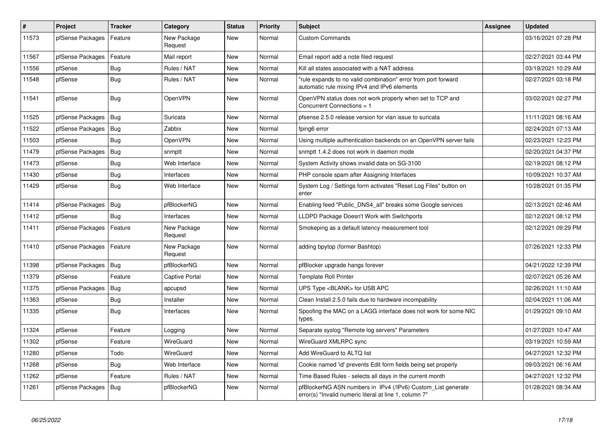| #     | Project          | <b>Tracker</b> | Category               | <b>Status</b> | Priority | <b>Subject</b>                                                                                                         | <b>Assignee</b> | <b>Updated</b>      |
|-------|------------------|----------------|------------------------|---------------|----------|------------------------------------------------------------------------------------------------------------------------|-----------------|---------------------|
| 11573 | pfSense Packages | Feature        | New Package<br>Request | <b>New</b>    | Normal   | <b>Custom Commands</b>                                                                                                 |                 | 03/16/2021 07:28 PM |
| 11567 | pfSense Packages | Feature        | Mail report            | New           | Normal   | Email report add a note filed request                                                                                  |                 | 02/27/2021 03:44 PM |
| 11556 | pfSense          | Bug            | Rules / NAT            | <b>New</b>    | Normal   | Kill all states associated with a NAT address                                                                          |                 | 03/19/2021 10:29 AM |
| 11548 | pfSense          | Bug            | Rules / NAT            | New           | Normal   | "rule expands to no valid combination" error from port forward<br>automatic rule mixing IPv4 and IPv6 elements         |                 | 02/27/2021 03:18 PM |
| 11541 | pfSense          | Bug            | OpenVPN                | <b>New</b>    | Normal   | OpenVPN status does not work properly when set to TCP and<br>Concurrent Connections = 1                                |                 | 03/02/2021 02:27 PM |
| 11525 | pfSense Packages | Bug            | Suricata               | <b>New</b>    | Normal   | pfsense 2.5.0 release version for vlan issue to suricata                                                               |                 | 11/11/2021 08:16 AM |
| 11522 | pfSense Packages | Bug            | Zabbix                 | New           | Normal   | fping6 error                                                                                                           |                 | 02/24/2021 07:13 AM |
| 11503 | pfSense          | <b>Bug</b>     | OpenVPN                | <b>New</b>    | Normal   | Using multiple authentication backends on an OpenVPN server fails                                                      |                 | 02/23/2021 12:23 PM |
| 11479 | pfSense Packages | Bug            | snmptt                 | <b>New</b>    | Normal   | snmptt 1.4.2 does not work in daemon mode                                                                              |                 | 02/20/2021 04:37 PM |
| 11473 | pfSense          | <b>Bug</b>     | Web Interface          | New           | Normal   | System Activity shows invalid data on SG-3100                                                                          |                 | 02/19/2021 08:12 PM |
| 11430 | pfSense          | <b>Bug</b>     | Interfaces             | <b>New</b>    | Normal   | PHP console spam after Assigning Interfaces                                                                            |                 | 10/09/2021 10:37 AM |
| 11429 | pfSense          | <b>Bug</b>     | Web Interface          | New           | Normal   | System Log / Settings form activates "Reset Log Files" button on<br>enter                                              |                 | 10/28/2021 01:35 PM |
| 11414 | pfSense Packages | Bug            | pfBlockerNG            | <b>New</b>    | Normal   | Enabling feed "Public_DNS4_all" breaks some Google services                                                            |                 | 02/13/2021 02:46 AM |
| 11412 | pfSense          | Bug            | Interfaces             | New           | Normal   | LLDPD Package Doesn't Work with Switchports                                                                            |                 | 02/12/2021 08:12 PM |
| 11411 | pfSense Packages | Feature        | New Package<br>Request | <b>New</b>    | Normal   | Smokeping as a default latency measurement tool                                                                        |                 | 02/12/2021 09:29 PM |
| 11410 | pfSense Packages | Feature        | New Package<br>Request | <b>New</b>    | Normal   | adding bpytop (former Bashtop)                                                                                         |                 | 07/26/2021 12:33 PM |
| 11398 | pfSense Packages | Bug            | pfBlockerNG            | <b>New</b>    | Normal   | pfBlocker upgrade hangs forever                                                                                        |                 | 04/21/2022 12:39 PM |
| 11379 | pfSense          | Feature        | <b>Captive Portal</b>  | <b>New</b>    | Normal   | <b>Template Roll Printer</b>                                                                                           |                 | 02/07/2021 05:26 AM |
| 11375 | pfSense Packages | Bug            | apcupsd                | <b>New</b>    | Normal   | UPS Type <blank> for USB APC</blank>                                                                                   |                 | 02/26/2021 11:10 AM |
| 11363 | pfSense          | <b>Bug</b>     | Installer              | <b>New</b>    | Normal   | Clean Install 2.5.0 fails due to hardware incompability                                                                |                 | 02/04/2021 11:06 AM |
| 11335 | pfSense          | <b>Bug</b>     | Interfaces             | <b>New</b>    | Normal   | Spoofing the MAC on a LAGG interface does not work for some NIC<br>types.                                              |                 | 01/29/2021 09:10 AM |
| 11324 | pfSense          | Feature        | Logging                | <b>New</b>    | Normal   | Separate syslog "Remote log servers" Parameters                                                                        |                 | 01/27/2021 10:47 AM |
| 11302 | pfSense          | Feature        | WireGuard              | <b>New</b>    | Normal   | WireGuard XMLRPC sync                                                                                                  |                 | 03/19/2021 10:59 AM |
| 11280 | pfSense          | Todo           | <b>WireGuard</b>       | <b>New</b>    | Normal   | Add WireGuard to ALTQ list                                                                                             |                 | 04/27/2021 12:32 PM |
| 11268 | pfSense          | <b>Bug</b>     | Web Interface          | <b>New</b>    | Normal   | Cookie named 'id' prevents Edit form fields being set properly                                                         |                 | 09/03/2021 06:16 AM |
| 11262 | pfSense          | Feature        | Rules / NAT            | New           | Normal   | Time Based Rules - selects all days in the current month                                                               |                 | 04/27/2021 12:32 PM |
| 11261 | pfSense Packages | <b>Bug</b>     | pfBlockerNG            | <b>New</b>    | Normal   | pfBlockerNG ASN numbers in IPv4 (/IPv6) Custom_List generate<br>error(s) "Invalid numeric literal at line 1, column 7" |                 | 01/28/2021 08:34 AM |